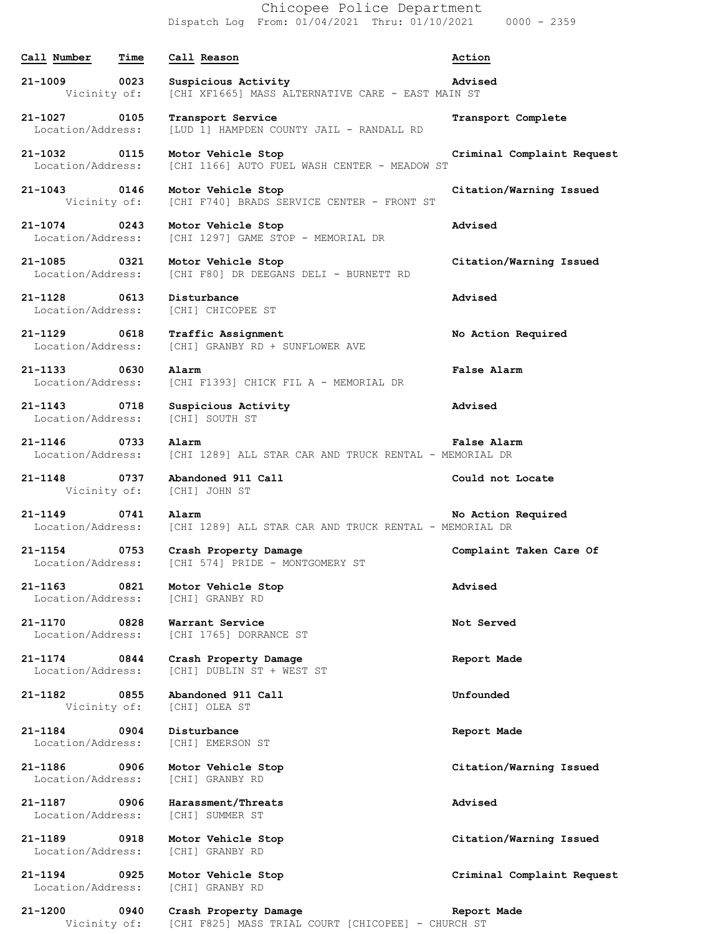Chicopee Police Department Dispatch Log From: 01/04/2021 Thru: 01/10/2021 0000 - 2359

## **Call Number Time Call Reason Action 21-1009 0023 Suspicious Activity Advised** Vicinity of: [CHI XF1665] MASS ALTERNATIVE CARE - EAST MAIN ST **21-1027 0105 Transport Service Transport Complete** Location/Address: [LUD 1] HAMPDEN COUNTY JAIL - RANDALL RD **21-1032 0115 Motor Vehicle Stop Criminal Complaint Request** Location/Address: [CHI 1166] AUTO FUEL WASH CENTER - MEADOW ST **21-1043 0146 Motor Vehicle Stop Citation/Warning Issued** Vicinity of: [CHI F740] BRADS SERVICE CENTER - FRONT ST **21-1074 0243 Motor Vehicle Stop Advised** Location/Address: [CHI 1297] GAME STOP - MEMORIAL DR **21-1085 0321 Motor Vehicle Stop Citation/Warning Issued** Location/Address: [CHI F80] DR DEEGANS DELI - BURNETT RD **21-1128 0613 Disturbance Advised** Location/Address: [CHI] CHICOPEE ST **21-1129 0618 Traffic Assignment No Action Required** Location/Address: [CHI] GRANBY RD + SUNFLOWER AVE **21-1133 0630 Alarm False Alarm** Location/Address: [CHI F1393] CHICK FIL A - MEMORIAL DR **21-1143 0718 Suspicious Activity Advised** Location/Address: [CHI] SOUTH ST **21-1146 0733 Alarm False Alarm** Location/Address: [CHI 1289] ALL STAR CAR AND TRUCK RENTAL - MEMORIAL DR **21-1148 0737 Abandoned 911 Call Could not Locate** Vicinity of: [CHI] JOHN ST **21-1149 0741 Alarm No Action Required** Location/Address: [CHI 1289] ALL STAR CAR AND TRUCK RENTAL - MEMORIAL DR **21-1154 0753 Crash Property Damage Complaint Taken Care Of** Location/Address: [CHI 574] PRIDE - MONTGOMERY ST **21-1163 0821 Motor Vehicle Stop Advised** Location/Address: [CHI] GRANBY RD **21-1170 0828 Warrant Service Not Served** Location/Address: [CHI 1765] DORRANCE ST **21-1174 0844 Crash Property Damage Report Made** Location/Address: [CHI] DUBLIN ST + WEST ST **21-1182 0855 Abandoned 911 Call Unfounded** Vicinity of: [CHI] OLEA ST **21-1184 0904 Disturbance Report Made** Location/Address: [CHI] EMERSON ST **21-1186 0906 Motor Vehicle Stop Citation/Warning Issued** Location/Address: [CHI] GRANBY RD **21-1187 0906 Harassment/Threats Advised** Location/Address: [CHI] SUMMER ST **21-1189 0918 Motor Vehicle Stop Citation/Warning Issued** Location/Address: [CHI] GRANBY RD **21-1194 0925 Motor Vehicle Stop Criminal Complaint Request** Location/Address: [CHI] GRANBY RD **21-1200 0940 Crash Property Damage Report Made** Vicinity of: [CHI F825] MASS TRIAL COURT [CHICOPEE] - CHURCH ST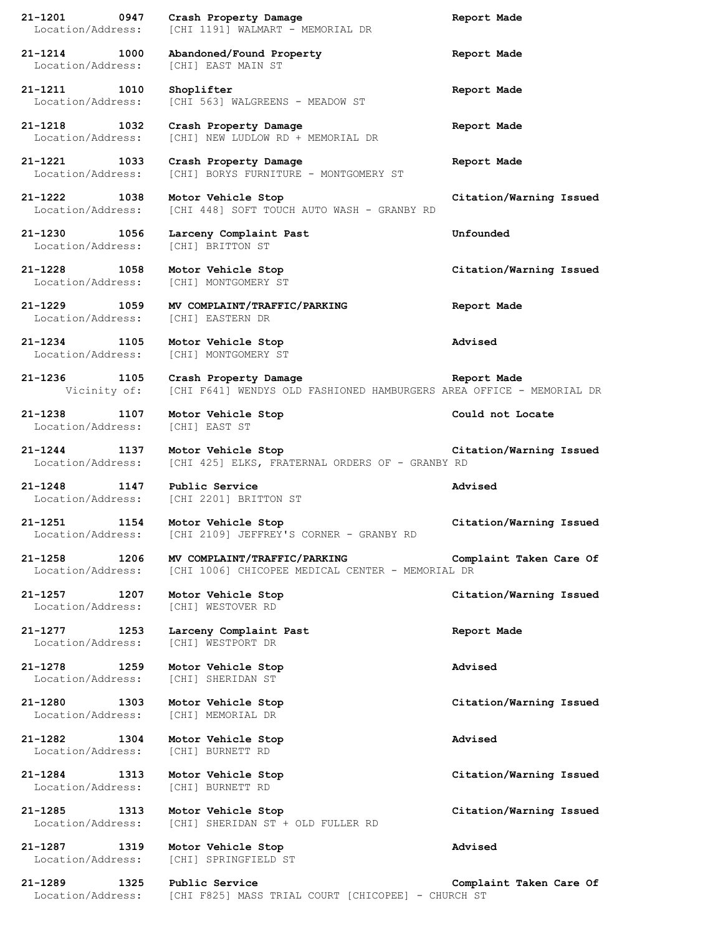|                                      | 0947 | Crash Property Damage                                                | Report Made             |
|--------------------------------------|------|----------------------------------------------------------------------|-------------------------|
| Location/Address:                    |      | [CHI 1191] WALMART - MEMORIAL DR                                     |                         |
|                                      |      |                                                                      |                         |
| 21-1214 1000                         |      | Abandoned/Found Property                                             | Report Made             |
| Location/Address:                    |      | [CHI] EAST MAIN ST                                                   |                         |
| 21-1211 1010                         |      | Shoplifter                                                           |                         |
| Location/Address:                    |      |                                                                      | Report Made             |
|                                      |      | [CHI 563] WALGREENS - MEADOW ST                                      |                         |
| 21-1218 1032                         |      | Crash Property Damage                                                |                         |
| Location/Address:                    |      | [CHI] NEW LUDLOW RD + MEMORIAL DR                                    | Report Made             |
|                                      |      |                                                                      |                         |
| 21-1221 1033                         |      | Crash Property Damage                                                |                         |
| Location/Address:                    |      | [CHI] BORYS FURNITURE - MONTGOMERY ST                                | Report Made             |
|                                      |      |                                                                      |                         |
| 21-1222 1038                         |      | Motor Vehicle Stop                                                   | Citation/Warning Issued |
| Location/Address:                    |      | [CHI 448] SOFT TOUCH AUTO WASH - GRANBY RD                           |                         |
|                                      |      |                                                                      |                         |
| 21-1230 1056                         |      | Larceny Complaint Past                                               | Unfounded               |
| Location/Address:                    |      | [CHI] BRITTON ST                                                     |                         |
|                                      |      |                                                                      |                         |
| 21-1228 1058                         |      |                                                                      |                         |
|                                      |      | Motor Vehicle Stop                                                   | Citation/Warning Issued |
| Location/Address:                    |      | [CHI] MONTGOMERY ST                                                  |                         |
| 21-1229 1059                         |      |                                                                      |                         |
|                                      |      | MV COMPLAINT/TRAFFIC/PARKING                                         | Report Made             |
| Location/Address:                    |      | [CHI] EASTERN DR                                                     |                         |
| 21-1234 1105                         |      |                                                                      |                         |
|                                      |      | Motor Vehicle Stop                                                   | Advised                 |
| Location/Address:                    |      | [CHI] MONTGOMERY ST                                                  |                         |
|                                      |      |                                                                      |                         |
| 21-1236                              | 1105 | Crash Property Damage                                                | Report Made             |
| Vicinity of:                         |      | [CHI F641] WENDYS OLD FASHIONED HAMBURGERS AREA OFFICE - MEMORIAL DR |                         |
|                                      |      |                                                                      |                         |
| $21 - 1238$                          | 1107 | Motor Vehicle Stop                                                   | Could not Locate        |
| Location/Address:                    |      | [CHI] EAST ST                                                        |                         |
|                                      |      |                                                                      |                         |
| 21-1244 1137                         |      | Motor Vehicle Stop                                                   | Citation/Warning Issued |
| Location/Address:                    |      | [CHI 425] ELKS, FRATERNAL ORDERS OF - GRANBY RD                      |                         |
|                                      |      |                                                                      |                         |
| 21-1248 1147                         |      | Public Service                                                       | Advised                 |
| Location/Address:                    |      | [CHI 2201] BRITTON ST                                                |                         |
|                                      |      |                                                                      |                         |
| 21-1251 1154                         |      |                                                                      |                         |
|                                      |      | Motor Vehicle Stop                                                   | Citation/Warning Issued |
| Location/Address:                    |      | [CHI 2109] JEFFREY'S CORNER - GRANBY RD                              |                         |
|                                      |      |                                                                      |                         |
| 21-1258 1206                         |      | MV COMPLAINT/TRAFFIC/PARKING                                         | Complaint Taken Care Of |
| Location/Address:                    |      | [CHI 1006] CHICOPEE MEDICAL CENTER - MEMORIAL DR                     |                         |
|                                      |      |                                                                      |                         |
| 21-1257 1207                         |      | Motor Vehicle Stop                                                   | Citation/Warning Issued |
| Location/Address:                    |      | [CHI] WESTOVER RD                                                    |                         |
|                                      |      |                                                                      |                         |
| $21 - 1277$                          | 1253 | Larceny Complaint Past                                               | Report Made             |
| Location/Address:                    |      | [CHI] WESTPORT DR                                                    |                         |
|                                      |      |                                                                      |                         |
| $21 - 1278$<br>1259                  |      | Motor Vehicle Stop                                                   | Advised                 |
| Location/Address:                    |      | [CHI] SHERIDAN ST                                                    |                         |
|                                      |      |                                                                      |                         |
| $21 - 1280$                          | 1303 | Motor Vehicle Stop                                                   | Citation/Warning Issued |
| Location/Address:                    |      | [CHI] MEMORIAL DR                                                    |                         |
|                                      |      |                                                                      |                         |
| 21-1282<br>1304                      |      | Motor Vehicle Stop                                                   | Advised                 |
| Location/Address:                    |      | [CHI] BURNETT RD                                                     |                         |
|                                      |      |                                                                      |                         |
| $21 - 1284$                          | 1313 | Motor Vehicle Stop                                                   | Citation/Warning Issued |
| Location/Address:                    |      | [CHI] BURNETT RD                                                     |                         |
|                                      |      |                                                                      |                         |
| $21 - 1285$<br>1313                  |      | Motor Vehicle Stop                                                   | Citation/Warning Issued |
| Location/Address:                    |      | [CHI] SHERIDAN ST + OLD FULLER RD                                    |                         |
|                                      |      |                                                                      |                         |
| 21-1287<br>1319                      |      | Motor Vehicle Stop                                                   | Advised                 |
| Location/Address:                    |      | [CHI] SPRINGFIELD ST                                                 |                         |
|                                      |      |                                                                      |                         |
| 21-1289<br>1325<br>Location/Address: |      | Public Service<br>[CHI F825] MASS TRIAL COURT [CHICOPEE] - CHURCH ST | Complaint Taken Care Of |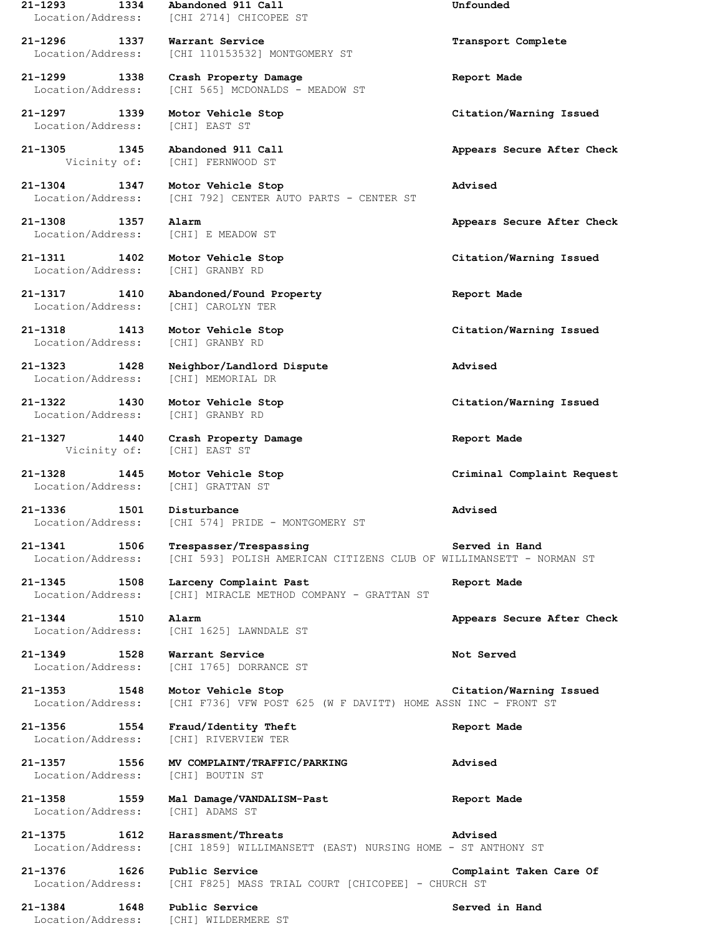**21-1293 1334 Abandoned 911 Call Unfounded** Location/Address: [CHI 2714] CHICOPEE ST **21-1296 1337 Warrant Service Transport Complete**

**21-1299 1338 Crash Property Damage Report Made**

Location/Address: [CHI] EAST ST

**21-1305 1345 Abandoned 911 Call Appears Secure After Check** Vicinity of: [CHI] FERNWOOD ST

**21-1304 1347 Motor Vehicle Stop Advised** Location/Address: [CHI 792] CENTER AUTO PARTS - CENTER ST

Location/Address: [CHI] E MEADOW ST

**21-1311 1402 Motor Vehicle Stop Citation/Warning Issued** Location/Address: [CHI] GRANBY RD

**21-1317 1410 Abandoned/Found Property Report Made** Location/Address: [CHI] CAROLYN TER

Location/Address: [CHI] GRANBY RD

Location/Address: [CHI] MEMORIAL DR

Location/Address: [CHI] GRANBY RD

**21-1327 1440 Crash Property Damage Report Made** Vicinity of: [CHI] EAST ST

Location/Address: [CHI] GRATTAN ST

Location/Address: [CHI 110153532] MONTGOMERY ST

Location/Address: [CHI 565] MCDONALDS - MEADOW ST

**21-1297 1339 Motor Vehicle Stop Citation/Warning Issued**

**21-1323 1428 Neighbor/Landlord Dispute Advised**

**21-1336 1501 Disturbance Advised** Location/Address: [CHI 574] PRIDE - MONTGOMERY ST

**21-1341 1506 Trespasser/Trespassing Served in Hand** Location/Address: [CHI 593] POLISH AMERICAN CITIZENS CLUB OF WILLIMANSETT - NORMAN ST

**21-1345 1508 Larceny Complaint Past Report Made** Location/Address: [CHI] MIRACLE METHOD COMPANY - GRATTAN ST

Location/Address: [CHI 1625] LAWNDALE ST

**21-1349 1528 Warrant Service Not Served** Location/Address: [CHI 1765] DORRANCE ST

**21-1353 1548 Motor Vehicle Stop Citation/Warning Issued** Location/Address: [CHI F736] VFW POST 625 (W F DAVITT) HOME ASSN INC - FRONT ST

**21-1356 1554 Fraud/Identity Theft Report Made** Location/Address: [CHI] RIVERVIEW TER

**21-1357 1556 MV COMPLAINT/TRAFFIC/PARKING Advised** Location/Address: [CHI] BOUTIN ST

**21-1358 1559 Mal Damage/VANDALISM-Past Report Made** Location/Address: [CHI] ADAMS ST

**21-1375 1612 Harassment/Threats Advised** Location/Address: [CHI 1859] WILLIMANSETT (EAST) NURSING HOME - ST ANTHONY ST

**21-1376 1626 Public Service Complaint Taken Care Of** Location/Address: [CHI F825] MASS TRIAL COURT [CHICOPEE] - CHURCH ST

**21-1384 1648 Public Service Served in Hand** Location/Address: [CHI] WILDERMERE ST

**21-1308 1357 Alarm Appears Secure After Check**

**21-1318 1413 Motor Vehicle Stop Citation/Warning Issued**

**21-1322 1430 Motor Vehicle Stop Citation/Warning Issued**

**21-1328 1445 Motor Vehicle Stop Criminal Complaint Request**

**21-1344 1510 Alarm Appears Secure After Check**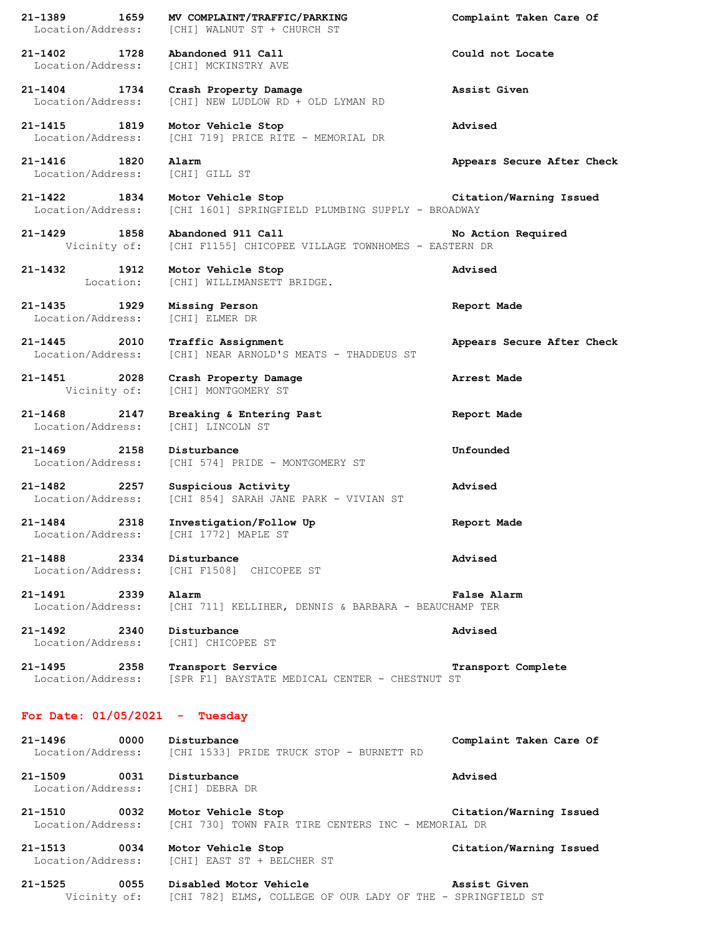| 21-1389<br>Location/Address:             | 1659 | MV COMPLAINT/TRAFFIC/PARKING<br>[CHI] WALNUT ST + CHURCH ST                           | Complaint Taken Care Of    |
|------------------------------------------|------|---------------------------------------------------------------------------------------|----------------------------|
| $21 - 1402$<br>Location/Address:         | 1728 | Abandoned 911 Call<br>[CHI] MCKINSTRY AVE                                             | Could not Locate           |
| $21 - 1404$<br>Location/Address:         | 1734 | Crash Property Damage<br>[CHI] NEW LUDLOW RD + OLD LYMAN RD                           | Assist Given               |
| $21 - 1415$<br>Location/Address:         | 1819 | Motor Vehicle Stop<br>[CHI 719] PRICE RITE - MEMORIAL DR                              | Advised                    |
| $21 - 1416$<br>Location/Address:         | 1820 | Alarm<br>[CHI] GILL ST                                                                | Appears Secure After Check |
| $21 - 1422$<br>Location/Address:         | 1834 | Motor Vehicle Stop<br>[CHI 1601] SPRINGFIELD PLUMBING SUPPLY - BROADWAY               | Citation/Warning Issued    |
| 21-1429<br>Vicinity of:                  | 1858 | Abandoned 911 Call<br>[CHI F1155] CHICOPEE VILLAGE TOWNHOMES - EASTERN DR             | No Action Required         |
| $21 - 1432$<br>Location:                 | 1912 | Motor Vehicle Stop<br>[CHI] WILLIMANSETT BRIDGE.                                      | Advised                    |
| $21 - 1435$<br>Location/Address:         | 1929 | Missing Person<br>[CHI] ELMER DR                                                      | Report Made                |
| $21 - 1445$<br>2010<br>Location/Address: |      | Traffic Assignment<br>[CHI] NEAR ARNOLD'S MEATS - THADDEUS ST                         | Appears Secure After Check |
| $21 - 1451$<br>Vicinity of:              | 2028 | Crash Property Damage<br>[CHI] MONTGOMERY ST                                          | Arrest Made                |
| $21 - 1468$<br>Location/Address:         | 2147 | Breaking & Entering Past<br>[CHI] LINCOLN ST                                          | Report Made                |
| $21 - 1469$<br>Location/Address:         | 2158 | Disturbance<br>[CHI 574] PRIDE - MONTGOMERY ST                                        | Unfounded                  |
| 21-1482<br>Location/Address:             | 2257 | Suspicious Activity<br>[CHI 854] SARAH JANE PARK - VIVIAN ST                          | Advised                    |
| 21-1484<br>Location/Address:             | 2318 | Investigation/Follow Up<br>[CHI 1772] MAPLE ST                                        | Report Made                |
| $21 - 1488$                              | 2334 | Disturbance<br>Location/Address: [CHI F1508] CHICOPEE ST                              | Advised                    |
| 21-1491<br>Location/Address:             | 2339 | Alarm<br>[CHI 711] KELLIHER, DENNIS & BARBARA - BEAUCHAMP TER                         | False Alarm                |
| 21-1492 2340                             |      | Disturbance<br>Location/Address: [CHI] CHICOPEE ST                                    | Advised                    |
| 21-1495                                  | 2358 | Transport Service<br>Location/Address: [SPR F1] BAYSTATE MEDICAL CENTER - CHESTNUT ST | Transport Complete         |
| For Date: $01/05/2021$ - Tuesday         |      |                                                                                       |                            |
| $21 - 1496$<br>Location/Address:         | 0000 | Disturbance<br>[CHI 1533] PRIDE TRUCK STOP - BURNETT RD                               | Complaint Taken Care Of    |
| 21-1509<br>Location/Address:             | 0031 | Disturbance<br>[CHI] DEBRA DR                                                         | Advised                    |
| 21-1510 0032<br>Location/Address:        |      | Motor Vehicle Stop<br>[CHI 730] TOWN FAIR TIRE CENTERS INC - MEMORIAL DR              | Citation/Warning Issued    |
| 21-1513<br>Location/Address:             | 0034 | Motor Vehicle Stop<br>[CHI] EAST ST + BELCHER ST                                      | Citation/Warning Issued    |
| $21 - 1525$<br>Vicinity of:              | 0055 | Disabled Motor Vehicle<br>[CHI 782] ELMS, COLLEGE OF OUR LADY OF THE - SPRINGFIELD ST | Assist Given               |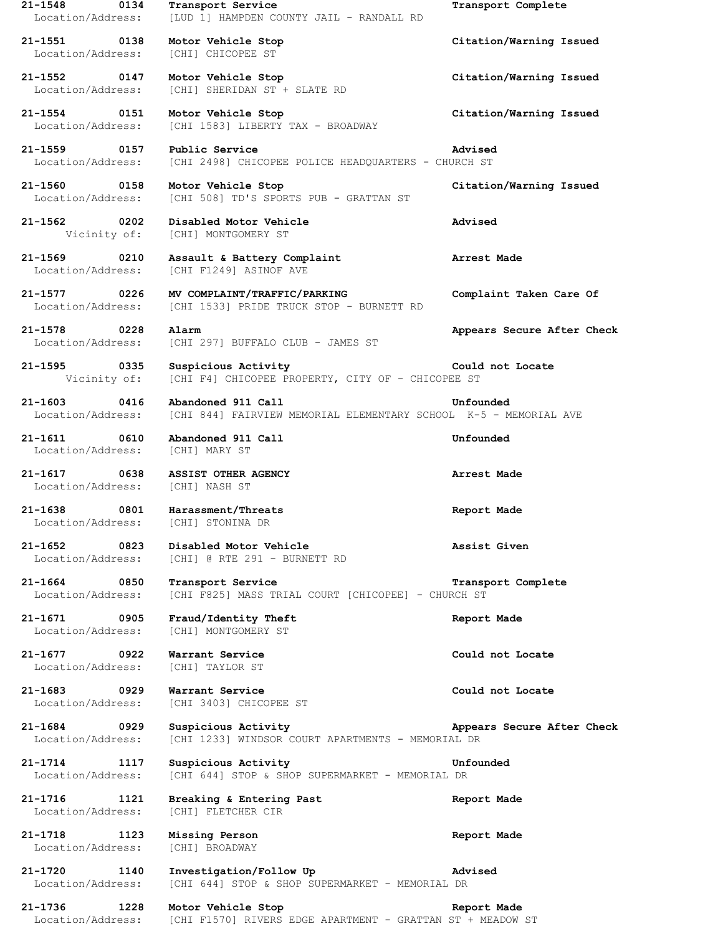**21-1548 0134 Transport Service Transport Complete** Location/Address: [LUD 1] HAMPDEN COUNTY JAIL - RANDALL RD **21-1551 0138 Motor Vehicle Stop Citation/Warning Issued** Location/Address: [CHI] CHICOPEE ST **21-1552 0147 Motor Vehicle Stop Citation/Warning Issued** Location/Address: [CHI] SHERIDAN ST + SLATE RD **21-1554 0151 Motor Vehicle Stop Citation/Warning Issued** Location/Address: [CHI 1583] LIBERTY TAX - BROADWAY **21-1559 0157 Public Service Advised** Location/Address: [CHI 2498] CHICOPEE POLICE HEADQUARTERS - CHURCH ST **21-1560 0158 Motor Vehicle Stop Citation/Warning Issued** Location/Address: [CHI 508] TD'S SPORTS PUB - GRATTAN ST **21-1562 0202 Disabled Motor Vehicle Advised** Vicinity of: [CHI] MONTGOMERY ST **21-1569 0210 Assault & Battery Complaint Arrest Made** Location/Address: [CHI F1249] ASINOF AVE **21-1577 0226 MV COMPLAINT/TRAFFIC/PARKING Complaint Taken Care Of** Location/Address: [CHI 1533] PRIDE TRUCK STOP - BURNETT RD **21-1578 0228 Alarm Appears Secure After Check** Location/Address: [CHI 297] BUFFALO CLUB - JAMES ST **21-1595 0335 Suspicious Activity Could not Locate** Vicinity of: [CHI F4] CHICOPEE PROPERTY, CITY OF - CHICOPEE ST **21-1603 0416 Abandoned 911 Call Unfounded** Location/Address: [CHI 844] FAIRVIEW MEMORIAL ELEMENTARY SCHOOL K-5 - MEMORIAL AVE **21-1611 0610 Abandoned 911 Call Unfounded** Location/Address: [CHI] MARY ST **21-1617 0638 ASSIST OTHER AGENCY Arrest Made** Location/Address: [CHI] NASH ST **21-1638 0801 Harassment/Threats Report Made** Location/Address: [CHI] STONINA DR **21-1652 0823 Disabled Motor Vehicle Assist Given** Location/Address: [CHI] @ RTE 291 - BURNETT RD **21-1664 0850 Transport Service Transport Complete** Location/Address: [CHI F825] MASS TRIAL COURT [CHICOPEE] - CHURCH ST **21-1671 0905 Fraud/Identity Theft Report Made** Location/Address: [CHI] MONTGOMERY ST **21-1677 0922 Warrant Service Could not Locate** Location/Address: [CHI] TAYLOR ST **21-1683 0929 Warrant Service Could not Locate** Location/Address: [CHI 3403] CHICOPEE ST **21-1684 0929 Suspicious Activity Appears Secure After Check** Location/Address: [CHI 1233] WINDSOR COURT APARTMENTS - MEMORIAL DR **21-1714 1117 Suspicious Activity Unfounded** Location/Address: [CHI 644] STOP & SHOP SUPERMARKET - MEMORIAL DR **21-1716 1121 Breaking & Entering Past Report Made** Location/Address: [CHI] FLETCHER CIR **21-1718 1123 Missing Person Report Made** Location/Address: [CHI] BROADWAY **21-1720 1140 Investigation/Follow Up Advised** Location/Address: [CHI 644] STOP & SHOP SUPERMARKET - MEMORIAL DR **21-1736 1228 Motor Vehicle Stop Report Made**

Location/Address: [CHI F1570] RIVERS EDGE APARTMENT - GRATTAN ST + MEADOW ST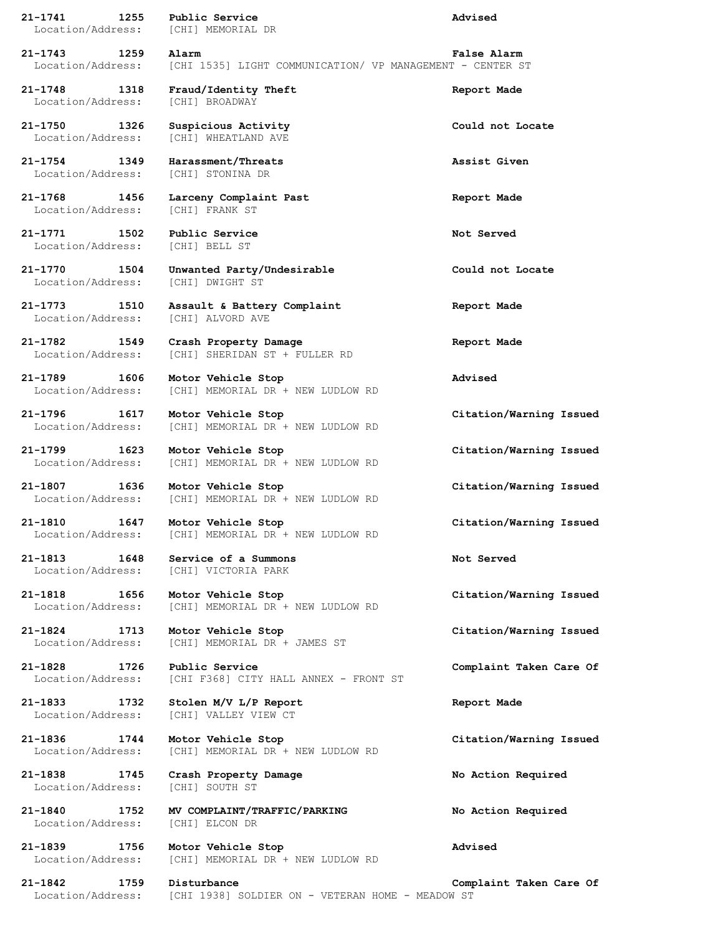**21-1741 1255 Public Service Advised** Location/Address: [CHI] MEMORIAL DR **21-1743 1259 Alarm False Alarm** Location/Address: [CHI 1535] LIGHT COMMUNICATION/ VP MANAGEMENT - CENTER ST **21-1748 1318 Fraud/Identity Theft Report Made** Location/Address: [CHI] BROADWAY **21-1750 1326 Suspicious Activity Could not Locate** Location/Address: [CHI] WHEATLAND AVE **21-1754 1349 Harassment/Threats Assist Given** Location/Address: [CHI] STONINA DR **21-1768 1456 Larceny Complaint Past Report Made** Location/Address: [CHI] FRANK ST **21-1771 1502 Public Service Not Served** Location/Address: [CHI] BELL ST **21-1770 1504 Unwanted Party/Undesirable Could not Locate** Location/Address: [CHI] DWIGHT ST **21-1773 1510 Assault & Battery Complaint Report Made** Location/Address: [CHI] ALVORD AVE **21-1782 1549 Crash Property Damage Report Made** Location/Address: [CHI] SHERIDAN ST + FULLER RD **21-1789 1606 Motor Vehicle Stop Advised** Location/Address: [CHI] MEMORIAL DR + NEW LUDLOW RD **21-1796 1617 Motor Vehicle Stop Citation/Warning Issued** Location/Address: [CHI] MEMORIAL DR + NEW LUDLOW RD **21-1799 1623 Motor Vehicle Stop Citation/Warning Issued** Location/Address: [CHI] MEMORIAL DR + NEW LUDLOW RD **21-1807 1636 Motor Vehicle Stop Citation/Warning Issued** Location/Address: [CHI] MEMORIAL DR + NEW LUDLOW RD **21-1810 1647 Motor Vehicle Stop Citation/Warning Issued** Location/Address: [CHI] MEMORIAL DR + NEW LUDLOW RD **21-1813 1648 Service of a Summons Not Served** Location/Address: [CHI] VICTORIA PARK **21-1818 1656 Motor Vehicle Stop Citation/Warning Issued** Location/Address: [CHI] MEMORIAL DR + NEW LUDLOW RD **21-1824 1713 Motor Vehicle Stop Citation/Warning Issued** Location/Address: [CHI] MEMORIAL DR + JAMES ST **21-1828 1726 Public Service Complaint Taken Care Of** Location/Address: [CHI F368] CITY HALL ANNEX - FRONT ST **21-1833 1732 Stolen M/V L/P Report Report Made** Location/Address: [CHI] VALLEY VIEW CT **21-1836 1744 Motor Vehicle Stop Citation/Warning Issued** Location/Address: [CHI] MEMORIAL DR + NEW LUDLOW RD **21-1838 1745 Crash Property Damage No Action Required** Location/Address: [CHI] SOUTH ST **21-1840 1752 MV COMPLAINT/TRAFFIC/PARKING No Action Required** Location/Address: [CHI] ELCON DR **21-1839 1756 Motor Vehicle Stop Advised** Location/Address: [CHI] MEMORIAL DR + NEW LUDLOW RD

**21-1842 1759 Disturbance Complaint Taken Care Of**

Location/Address: [CHI 1938] SOLDIER ON - VETERAN HOME - MEADOW ST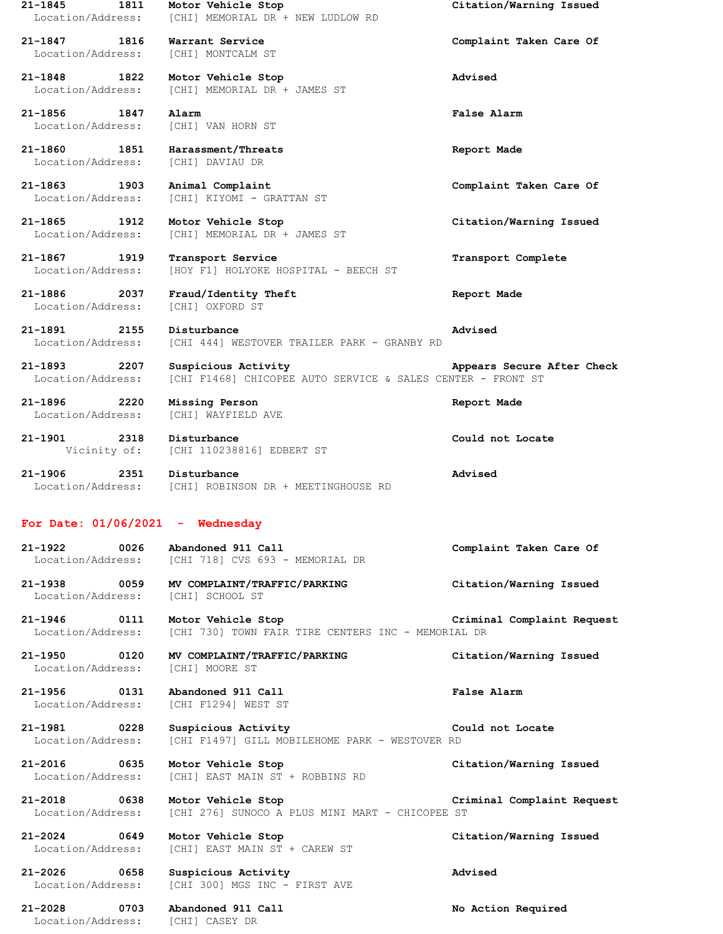**21-1845 1811 Motor Vehicle Stop Citation/Warning Issued** Location/Address: [CHI] MEMORIAL DR + NEW LUDLOW RD **21-1847 1816 Warrant Service Complaint Taken Care Of** Location/Address: [CHI] MONTCALM ST **21-1848 1822 Motor Vehicle Stop Advised** Location/Address: [CHI] MEMORIAL DR + JAMES ST **21-1856 1847 Alarm False Alarm** Location/Address: [CHI] VAN HORN ST **21-1860 1851 Harassment/Threats Report Made** Location/Address: [CHI] DAVIAU DR **21-1863 1903 Animal Complaint Complaint Taken Care Of** Location/Address: [CHI] KIYOMI - GRATTAN ST **21-1865 1912 Motor Vehicle Stop Citation/Warning Issued** Location/Address: [CHI] MEMORIAL DR + JAMES ST **21-1867 1919 Transport Service Transport Complete** Location/Address: [HOY F1] HOLYOKE HOSPITAL - BEECH ST **21-1886 2037 Fraud/Identity Theft Report Made** Location/Address: [CHI] OXFORD ST **21-1891 2155 Disturbance Advised** Location/Address: [CHI 444] WESTOVER TRAILER PARK - GRANBY RD **21-1893 2207 Suspicious Activity Appears Secure After Check** Location/Address: [CHI F1468] CHICOPEE AUTO SERVICE & SALES CENTER - FRONT ST **21-1896 2220 Missing Person Report Made** Location/Address: [CHI] WAYFIELD AVE **21-1901 2318 Disturbance Could not Locate** Vicinity of: [CHI 110238816] EDBERT ST **21-1906 2351 Disturbance Advised** Location/Address: [CHI] ROBINSON DR + MEETINGHOUSE RD **For Date: 01/06/2021 - Wednesday 21-1922 0026 Abandoned 911 Call Complaint Taken Care Of** Location/Address: [CHI 718] CVS 693 - MEMORIAL DR **21-1938 0059 MV COMPLAINT/TRAFFIC/PARKING Citation/Warning Issued** Location/Address: [CHI] SCHOOL ST **21-1946 0111 Motor Vehicle Stop Criminal Complaint Request** Location/Address: [CHI 730] TOWN FAIR TIRE CENTERS INC - MEMORIAL DR **21-1950 0120 MV COMPLAINT/TRAFFIC/PARKING Citation/Warning Issued** Location/Address: [CHI] MOORE ST **21-1956 0131 Abandoned 911 Call False Alarm** Location/Address: [CHI F1294] WEST ST **21-1981 0228 Suspicious Activity Could not Locate** Location/Address: [CHI F1497] GILL MOBILEHOME PARK - WESTOVER RD **21-2016 0635 Motor Vehicle Stop Citation/Warning Issued** Location/Address: [CHI] EAST MAIN ST + ROBBINS RD **21-2018 0638 Motor Vehicle Stop Criminal Complaint Request** Location/Address: [CHI 276] SUNOCO A PLUS MINI MART - CHICOPEE ST **21-2024 0649 Motor Vehicle Stop Citation/Warning Issued** Location/Address: [CHI] EAST MAIN ST + CAREW ST **21-2026 0658 Suspicious Activity Advised** Location/Address: [CHI 300] MGS INC - FIRST AVE **21-2028 0703 Abandoned 911 Call No Action Required**

Location/Address: [CHI] CASEY DR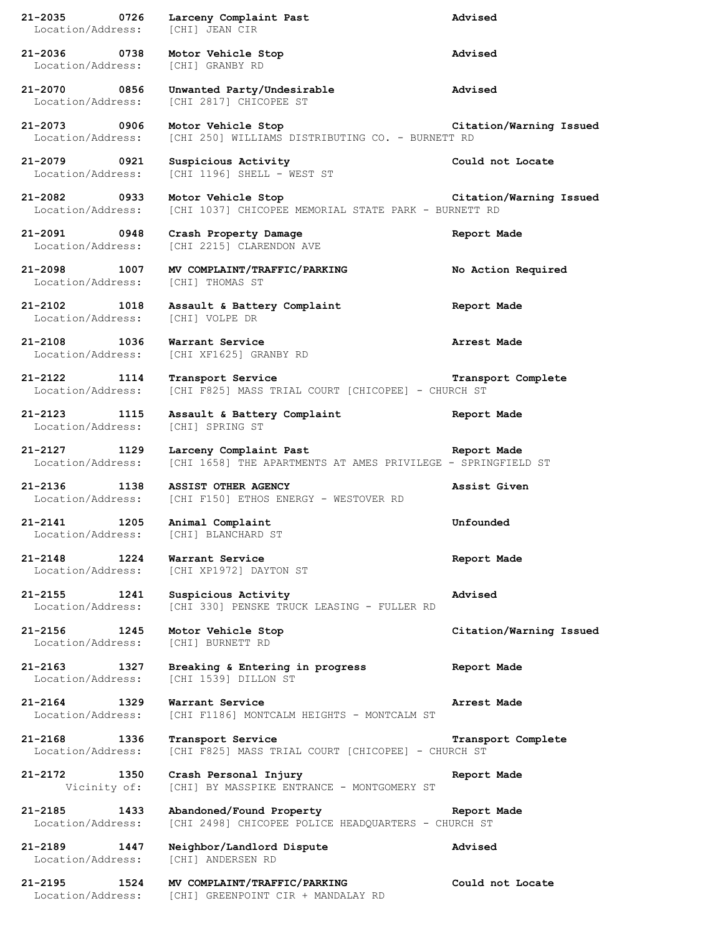**21-2035 0726 Larceny Complaint Past Advised** Location/Address: [CHI] JEAN CIR **21-2036 0738 Motor Vehicle Stop Advised** Location/Address: [CHI] GRANBY RD **21-2070 0856 Unwanted Party/Undesirable Advised** Location/Address: [CHI 2817] CHICOPEE ST **21-2073 0906 Motor Vehicle Stop Citation/Warning Issued** Location/Address: [CHI 250] WILLIAMS DISTRIBUTING CO. - BURNETT RD **21-2079 0921 Suspicious Activity Could not Locate** Location/Address: [CHI 1196] SHELL - WEST ST **21-2082 0933 Motor Vehicle Stop Citation/Warning Issued** Location/Address: [CHI 1037] CHICOPEE MEMORIAL STATE PARK - BURNETT RD **21-2091 0948 Crash Property Damage Report Made** Location/Address: [CHI 2215] CLARENDON AVE **21-2098 1007 MV COMPLAINT/TRAFFIC/PARKING No Action Required** Location/Address: [CHI] THOMAS ST **21-2102 1018 Assault & Battery Complaint Report Made** Location/Address: [CHI] VOLPE DR **21-2108 1036 Warrant Service Arrest Made** Location/Address: [CHI XF1625] GRANBY RD **21-2122 1114 Transport Service Transport Complete** Location/Address: [CHI F825] MASS TRIAL COURT [CHICOPEE] - CHURCH ST **21-2123 1115 Assault & Battery Complaint Report Made** Location/Address: [CHI] SPRING ST **21-2127 1129 Larceny Complaint Past Report Made** Location/Address: [CHI 1658] THE APARTMENTS AT AMES PRIVILEGE - SPRINGFIELD ST **21-2136 1138 ASSIST OTHER AGENCY Assist Given** Location/Address: [CHI F150] ETHOS ENERGY - WESTOVER RD **21-2141 1205 Animal Complaint Unfounded** Location/Address: [CHI] BLANCHARD ST **21-2148 1224 Warrant Service Report Made** Location/Address: [CHI XP1972] DAYTON ST **21-2155 1241 Suspicious Activity Advised** Location/Address: [CHI 330] PENSKE TRUCK LEASING - FULLER RD **21-2156 1245 Motor Vehicle Stop Citation/Warning Issued** Location/Address: [CHI] BURNETT RD **21-2163 1327 Breaking & Entering in progress Report Made** Location/Address: [CHI 1539] DILLON ST **21-2164 1329 Warrant Service Arrest Made** Location/Address: [CHI F1186] MONTCALM HEIGHTS - MONTCALM ST **21-2168 1336 Transport Service Transport Complete** Location/Address: [CHI F825] MASS TRIAL COURT [CHICOPEE] - CHURCH ST **21-2172 1350 Crash Personal Injury Report Made** Vicinity of: [CHI] BY MASSPIKE ENTRANCE - MONTGOMERY ST **21-2185 1433 Abandoned/Found Property Report Made** Location/Address: [CHI 2498] CHICOPEE POLICE HEADQUARTERS - CHURCH ST **21-2189 1447 Neighbor/Landlord Dispute Advised** Location/Address: [CHI] ANDERSEN RD **21-2195 1524 MV COMPLAINT/TRAFFIC/PARKING Could not Locate** Location/Address: [CHI] GREENPOINT CIR + MANDALAY RD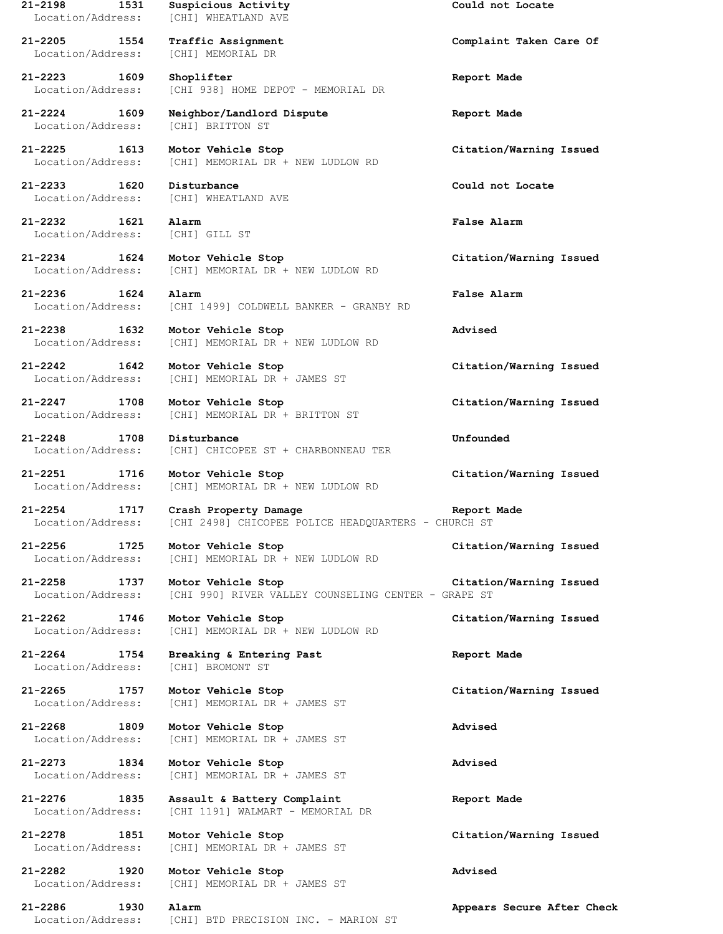**21-2198 1531 Suspicious Activity Could not Locate** Location/Address: [CHI] WHEATLAND AVE

**21-2205 1554 Traffic Assignment Complaint Taken Care Of** Location/Address: [CHI] MEMORIAL DR

Location/Address: [CHI] BRITTON ST

**21-2232 1621 Alarm False Alarm** Location/Address: [CHI] GILL ST

**21-2247 1708 Motor Vehicle Stop Citation/Warning Issued**

**21-2248 1708 Disturbance Unfounded** Location/Address: [CHI] CHICOPEE ST + CHARBONNEAU TER

**21-2251 1716 Motor Vehicle Stop Citation/Warning Issued** Location/Address: [CHI] MEMORIAL DR + NEW LUDLOW RD

**21-2254 1717 Crash Property Damage Report Made** Location/Address: [CHI 2498] CHICOPEE POLICE HEADQUARTERS - CHURCH ST

**21-2256 1725 Motor Vehicle Stop Citation/Warning Issued** Location/Address: [CHI] MEMORIAL DR + NEW LUDLOW RD

**21-2258 1737 Motor Vehicle Stop Citation/Warning Issued** Location/Address: [CHI 990] RIVER VALLEY COUNSELING CENTER - GRAPE ST

**21-2262 1746 Motor Vehicle Stop Citation/Warning Issued** Location/Address: [CHI] MEMORIAL DR + NEW LUDLOW RD

**21-2264 1754 Breaking & Entering Past Report Made** Location/Address: [CHI] BROMONT ST

**21-2265 1757 Motor Vehicle Stop Citation/Warning Issued** Location/Address: [CHI] MEMORIAL DR + JAMES ST

**21-2268 1809 Motor Vehicle Stop Advised** Location/Address: [CHI] MEMORIAL DR + JAMES ST

**21-2273 1834 Motor Vehicle Stop Advised** Location/Address: [CHI] MEMORIAL DR + JAMES ST

**21-2276 1835 Assault & Battery Complaint Report Made** Location/Address: [CHI 1191] WALMART - MEMORIAL DR

**21-2278 1851 Motor Vehicle Stop Citation/Warning Issued** Location/Address: [CHI] MEMORIAL DR + JAMES ST

**21-2282 1920 Motor Vehicle Stop Advised** Location/Address: [CHI] MEMORIAL DR + JAMES ST

Location/Address: [CHI] BTD PRECISION INC. - MARION ST

**21-2223 1609 Shoplifter Report Made** Location/Address: [CHI 938] HOME DEPOT - MEMORIAL DR

**21-2224 1609 Neighbor/Landlord Dispute Report Made**

**21-2225 1613 Motor Vehicle Stop Citation/Warning Issued** Location/Address: [CHI] MEMORIAL DR + NEW LUDLOW RD

**21-2233 1620 Disturbance Could not Locate** Location/Address: [CHI] WHEATLAND AVE

**21-2234 1624 Motor Vehicle Stop Citation/Warning Issued** Location/Address: [CHI] MEMORIAL DR + NEW LUDLOW RD

**21-2236 1624 Alarm False Alarm** Location/Address: [CHI 1499] COLDWELL BANKER - GRANBY RD

**21-2238 1632 Motor Vehicle Stop Advised** Location/Address: [CHI] MEMORIAL DR + NEW LUDLOW RD

**21-2242 1642 Motor Vehicle Stop Citation/Warning Issued** Location/Address: [CHI] MEMORIAL DR + JAMES ST

Location/Address: [CHI] MEMORIAL DR + BRITTON ST

**21-2286 1930 Alarm Appears Secure After Check**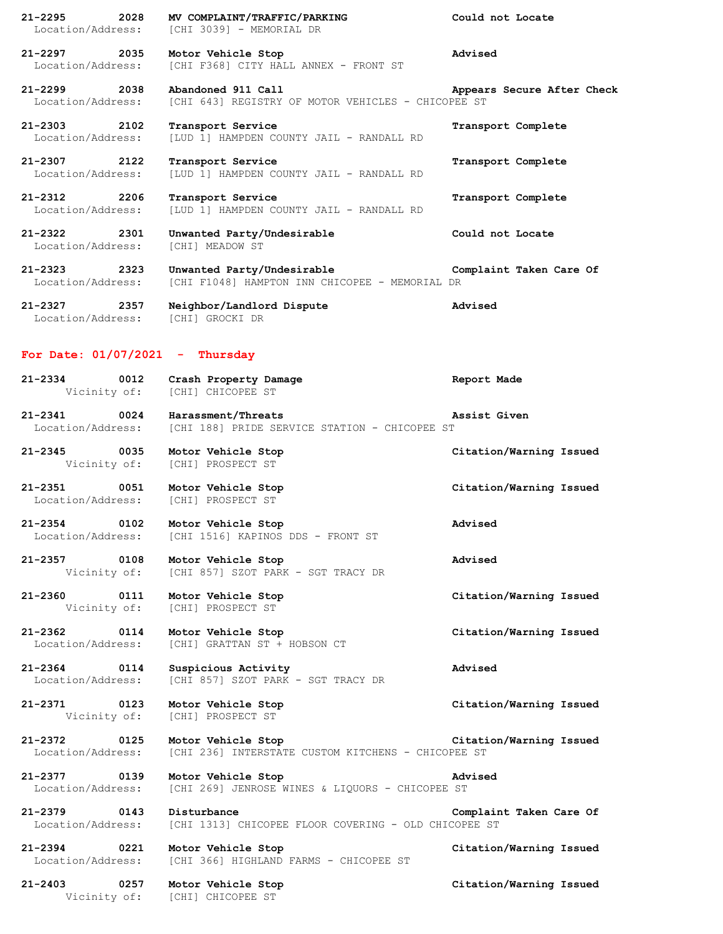**21-2295 2028 MV COMPLAINT/TRAFFIC/PARKING Could not Locate** Location/Address: [CHI 3039] - MEMORIAL DR **21-2297 2035 Motor Vehicle Stop Advised** Location/Address: [CHI F368] CITY HALL ANNEX - FRONT ST **21-2299 2038 Abandoned 911 Call Appears Secure After Check** Location/Address: [CHI 643] REGISTRY OF MOTOR VEHICLES - CHICOPEE ST **21-2303 2102 Transport Service Transport Complete** Location/Address: [LUD 1] HAMPDEN COUNTY JAIL - RANDALL RD **21-2307 2122 Transport Service Transport Complete** Location/Address: [LUD 1] HAMPDEN COUNTY JAIL - RANDALL RD **21-2312 2206 Transport Service Transport Complete** Location/Address: [LUD 1] HAMPDEN COUNTY JAIL - RANDALL RD **21-2322 2301 Unwanted Party/Undesirable Could not Locate** Location/Address: [CHI] MEADOW ST **21-2323 2323 Unwanted Party/Undesirable Complaint Taken Care Of** Location/Address: [CHI F1048] HAMPTON INN CHICOPEE - MEMORIAL DR

**21-2327 2357 Neighbor/Landlord Dispute Advised** Location/Address: [CHI] GROCKI DR

## **For Date: 01/07/2021 - Thursday**

| 21-2334      | 0012 | Crash Property Damage | Report Made |
|--------------|------|-----------------------|-------------|
| Vicinity of: |      | [CHI] CHICOPEE ST     |             |

**21-2341 0024 Harassment/Threats Assist Given** Location/Address: [CHI 188] PRIDE SERVICE STATION - CHICOPEE ST

**21-2345 0035 Motor Vehicle Stop Citation/Warning Issued** Vicinity of: [CHI] PROSPECT ST

**21-2351 0051 Motor Vehicle Stop Citation/Warning Issued** Location/Address: [CHI] PROSPECT ST

**21-2354 0102 Motor Vehicle Stop Advised** Location/Address: [CHI 1516] KAPINOS DDS - FRONT ST

**21-2357 0108 Motor Vehicle Stop Advised** Vicinity of: [CHI 857] SZOT PARK - SGT TRACY DR

**21-2360 0111 Motor Vehicle Stop Citation/Warning Issued** Vicinity of: [CHI] PROSPECT ST

**21-2362 0114 Motor Vehicle Stop Citation/Warning Issued** Location/Address: [CHI] GRATTAN ST + HOBSON CT

**21-2364 0114 Suspicious Activity Advised** Location/Address: [CHI 857] SZOT PARK - SGT TRACY DR

**21-2371 0123 Motor Vehicle Stop Citation/Warning Issued** Vicinity of: [CHI] PROSPECT ST

**21-2372 0125 Motor Vehicle Stop Citation/Warning Issued** Location/Address: [CHI 236] INTERSTATE CUSTOM KITCHENS - CHICOPEE ST

**21-2377 0139 Motor Vehicle Stop Advised** Location/Address: [CHI 269] JENROSE WINES & LIQUORS - CHICOPEE ST

**21-2379 0143 Disturbance Complaint Taken Care Of** Location/Address: [CHI 1313] CHICOPEE FLOOR COVERING - OLD CHICOPEE ST

**21-2394 0221 Motor Vehicle Stop Citation/Warning Issued** Location/Address: [CHI 366] HIGHLAND FARMS - CHICOPEE ST

**21-2403 0257 Motor Vehicle Stop Citation/Warning Issued** Vicinity of: [CHI] CHICOPEE ST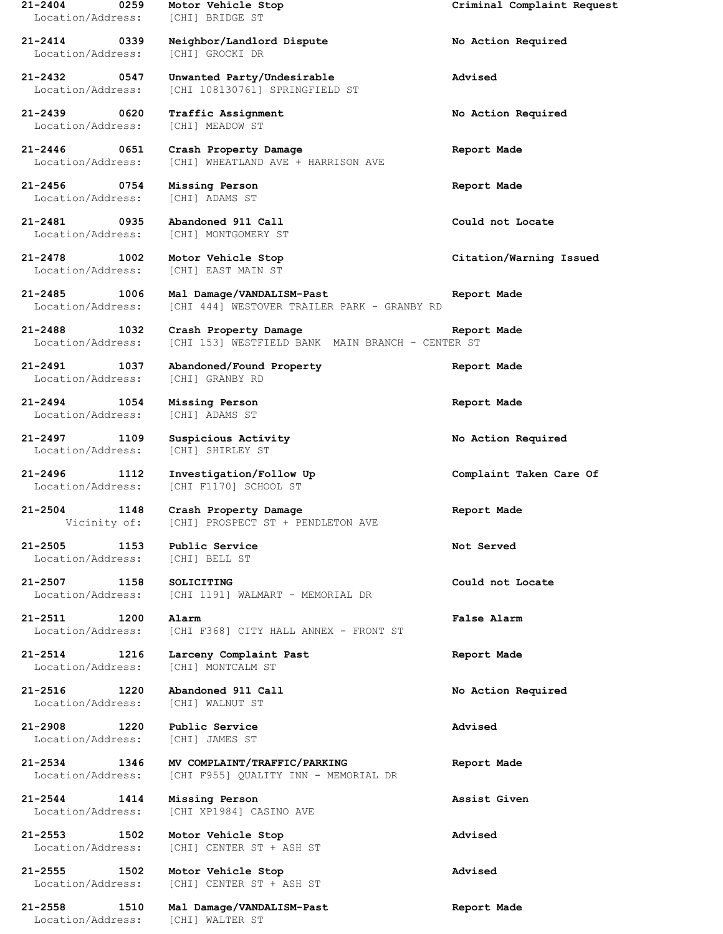**21-2404 0259 Motor Vehicle Stop Criminal Complaint Request** Location/Address: [CHI] BRIDGE ST **21-2414 0339 Neighbor/Landlord Dispute No Action Required** Location/Address: [CHI] GROCKI DR **21-2432 0547 Unwanted Party/Undesirable Advised** Location/Address: [CHI 108130761] SPRINGFIELD ST **21-2439 0620 Traffic Assignment No Action Required** Location/Address: [CHI] MEADOW ST **21-2446 0651 Crash Property Damage Report Made** [CHI] WHEATLAND AVE + HARRISON AVE **21-2456 0754 Missing Person Report Made** Location/Address: [CHI] ADAMS ST **21-2481 0935 Abandoned 911 Call Could not Locate** Location/Address: [CHI] MONTGOMERY ST **21-2478 1002 Motor Vehicle Stop Citation/Warning Issued** Location/Address: [CHI] EAST MAIN ST **21-2485 1006 Mal Damage/VANDALISM-Past Report Made** Location/Address: [CHI 444] WESTOVER TRAILER PARK - GRANBY RD **21-2488 1032 Crash Property Damage Report Made** Location/Address: [CHI 153] WESTFIELD BANK MAIN BRANCH - CENTER ST **21-2491 1037 Abandoned/Found Property Report Made** Location/Address: [CHI] GRANBY RD **21-2494 1054 Missing Person Report Made** Location/Address: [CHI] ADAMS ST **21-2497 1109 Suspicious Activity No Action Required** Location/Address: [CHI] SHIRLEY ST **21-2496 1112 Investigation/Follow Up Complaint Taken Care Of** Location/Address: [CHI F1170] SCHOOL ST **21-2504 1148 Crash Property Damage Report Made** Vicinity of: [CHI] PROSPECT ST + PENDLETON AVE **21-2505 1153 Public Service Not Served** Location/Address: [CHI] BELL ST **21-2507 1158 SOLICITING Could not Locate** Location/Address: [CHI 1191] WALMART - MEMORIAL DR **21-2511 1200 Alarm False Alarm** Location/Address: [CHI F368] CITY HALL ANNEX - FRONT ST **21-2514 1216 Larceny Complaint Past Report Made** Location/Address: [CHI] MONTCALM ST **21-2516 1220 Abandoned 911 Call No Action Required** Location/Address: [CHI] WALNUT ST **21-2908 1220 Public Service Advised** Location/Address: [CHI] JAMES ST **21-2534 1346 MV COMPLAINT/TRAFFIC/PARKING Report Made** Location/Address: [CHI F955] QUALITY INN - MEMORIAL DR **21-2544 1414 Missing Person Assist Given** Location/Address: [CHI XP1984] CASINO AVE **21-2553 1502 Motor Vehicle Stop Advised** Location/Address: [CHI] CENTER ST + ASH ST **21-2555 1502 Motor Vehicle Stop Advised** Location/Address: [CHI] CENTER ST + ASH ST **21-2558 1510 Mal Damage/VANDALISM-Past Report Made**

Location/Address: [CHI] WALTER ST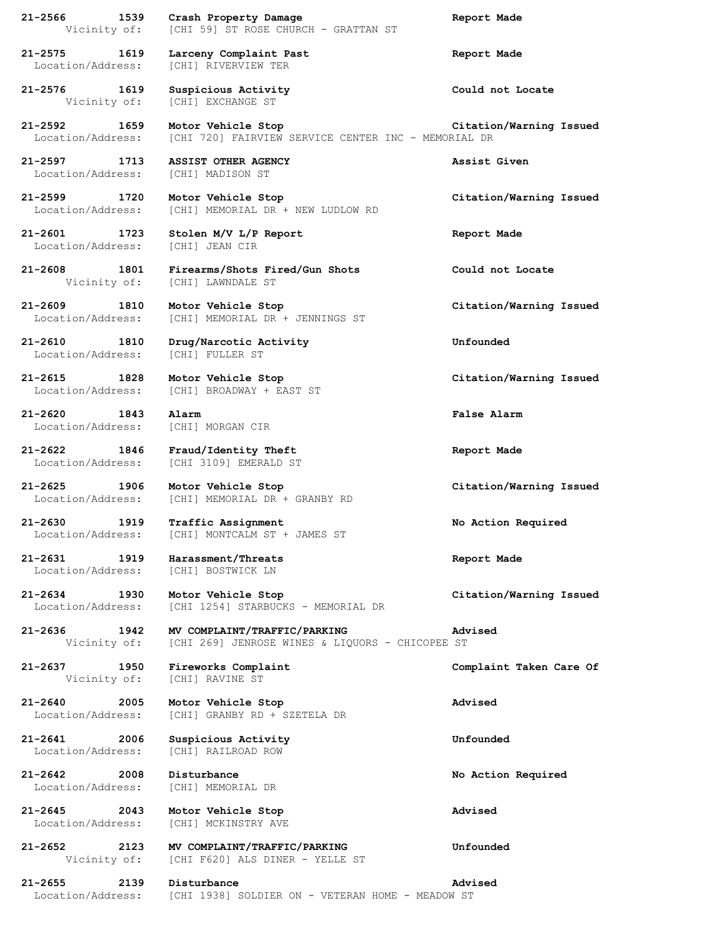**21-2566 1539 Crash Property Damage Report Made** Vicinity of: [CHI 59] ST ROSE CHURCH - GRATTAN ST **21-2575 1619 Larceny Complaint Past Report Made** Location/Address: [CHI] RIVERVIEW TER **21-2576 1619 Suspicious Activity Could not Locate** Vicinity of: [CHI] EXCHANGE ST **21-2592 1659 Motor Vehicle Stop Citation/Warning Issued** Location/Address: [CHI 720] FAIRVIEW SERVICE CENTER INC - MEMORIAL DR **21-2597 1713 ASSIST OTHER AGENCY Assist Given** Location/Address: [CHI] MADISON ST **21-2599 1720 Motor Vehicle Stop Citation/Warning Issued** Location/Address: [CHI] MEMORIAL DR + NEW LUDLOW RD **21-2601 1723 Stolen M/V L/P Report Report Made** Location/Address: [CHI] JEAN CIR **21-2608 1801 Firearms/Shots Fired/Gun Shots Could not Locate** Vicinity of: [CHI] LAWNDALE ST **21-2609 1810 Motor Vehicle Stop Citation/Warning Issued** Location/Address: [CHI] MEMORIAL DR + JENNINGS ST **21-2610 1810 Drug/Narcotic Activity Unfounded** Location/Address: [CHI] FULLER ST **21-2615 1828 Motor Vehicle Stop Citation/Warning Issued** Location/Address: [CHI] BROADWAY + EAST ST **21-2620 1843 Alarm False Alarm** Location/Address: [CHI] MORGAN CIR **21-2622 1846 Fraud/Identity Theft Report Made** Location/Address: [CHI 3109] EMERALD ST **21-2625 1906 Motor Vehicle Stop Citation/Warning Issued** Location/Address: [CHI] MEMORIAL DR + GRANBY RD **21-2630 1919 Traffic Assignment No Action Required** Location/Address: [CHI] MONTCALM ST + JAMES ST **21-2631 1919 Harassment/Threats Report Made** Location/Address: [CHI] BOSTWICK LN **21-2634 1930 Motor Vehicle Stop Citation/Warning Issued** Location/Address: [CHI 1254] STARBUCKS - MEMORIAL DR **21-2636 1942 MV COMPLAINT/TRAFFIC/PARKING Advised** Vicinity of: [CHI 269] JENROSE WINES & LIQUORS - CHICOPEE ST **21-2637 1950 Fireworks Complaint Complaint Taken Care Of** Vicinity of: [CHI] RAVINE ST **21-2640 2005 Motor Vehicle Stop Advised** Location/Address: [CHI] GRANBY RD + SZETELA DR **21-2641 2006 Suspicious Activity Unfounded** Location/Address: [CHI] RAILROAD ROW **21-2642 2008 Disturbance No Action Required** Location/Address: [CHI] MEMORIAL DR **21-2645 2043 Motor Vehicle Stop Advised** Location/Address: [CHI] MCKINSTRY AVE **21-2652 2123 MV COMPLAINT/TRAFFIC/PARKING Unfounded** Vicinity of: [CHI F620] ALS DINER - YELLE ST **21-2655 2139 Disturbance Advised** Location/Address: [CHI 1938] SOLDIER ON - VETERAN HOME - MEADOW ST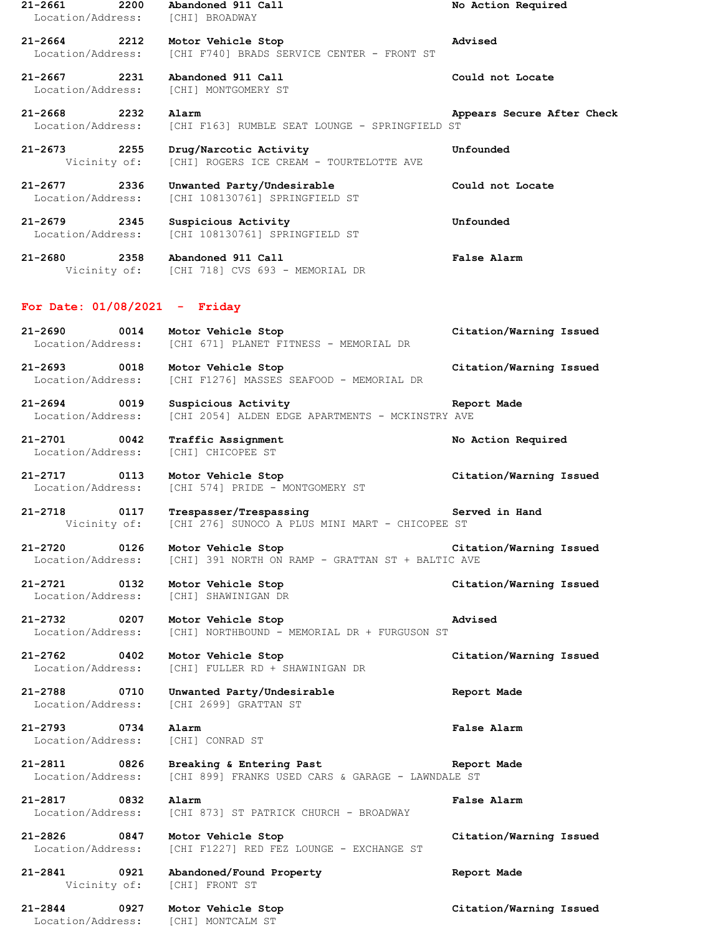**21-2661 2200 Abandoned 911 Call No Action Required** Location/Address: [CHI] BROADWAY **21-2664 2212 Motor Vehicle Stop Advised** Location/Address: [CHI F740] BRADS SERVICE CENTER - FRONT ST **21-2667 2231 Abandoned 911 Call Could not Locate** Location/Address: [CHI] MONTGOMERY ST **21-2668 2232 Alarm Appears Secure After Check** Location/Address: [CHI F163] RUMBLE SEAT LOUNGE - SPRINGFIELD ST **21-2673 2255 Drug/Narcotic Activity Unfounded** Vicinity of: [CHI] ROGERS ICE CREAM - TOURTELOTTE AVE **21-2677 2336 Unwanted Party/Undesirable Could not Locate** Location/Address: [CHI 108130761] SPRINGFIELD ST **21-2679 2345 Suspicious Activity Unfounded** Location/Address: [CHI 108130761] SPRINGFIELD ST **21-2680 2358 Abandoned 911 Call False Alarm** Vicinity of: [CHI 718] CVS 693 - MEMORIAL DR **For Date: 01/08/2021 - Friday 21-2690 0014 Motor Vehicle Stop Citation/Warning Issued** Location/Address: [CHI 671] PLANET FITNESS - MEMORIAL DR **21-2693 0018 Motor Vehicle Stop Citation/Warning Issued** Location/Address: [CHI F1276] MASSES SEAFOOD - MEMORIAL DR **21-2694 0019 Suspicious Activity Report Made** Location/Address: [CHI 2054] ALDEN EDGE APARTMENTS - MCKINSTRY AVE **21-2701 0042 Traffic Assignment No Action Required** Location/Address: [CHI] CHICOPEE ST **21-2717 0113 Motor Vehicle Stop Citation/Warning Issued** Location/Address: [CHI 574] PRIDE - MONTGOMERY ST **21-2718 0117 Trespasser/Trespassing Served in Hand** Vicinity of: [CHI 276] SUNOCO A PLUS MINI MART - CHICOPEE ST **21-2720 0126 Motor Vehicle Stop Citation/Warning Issued** Location/Address: [CHI] 391 NORTH ON RAMP - GRATTAN ST + BALTIC AVE **21-2721 0132 Motor Vehicle Stop Citation/Warning Issued** Location/Address: [CHI] SHAWINIGAN DR **21-2732 0207 Motor Vehicle Stop Advised** Location/Address: [CHI] NORTHBOUND - MEMORIAL DR + FURGUSON ST **21-2762 0402 Motor Vehicle Stop Citation/Warning Issued** Location/Address: [CHI] FULLER RD + SHAWINIGAN DR **21-2788 0710 Unwanted Party/Undesirable Report Made** Location/Address: [CHI 2699] GRATTAN ST **21-2793 0734 Alarm False Alarm** Location/Address: [CHI] CONRAD ST **21-2811 0826 Breaking & Entering Past Report Made** Location/Address: [CHI 899] FRANKS USED CARS & GARAGE - LAWNDALE ST **21-2817 0832 Alarm False Alarm** Location/Address: [CHI 873] ST PATRICK CHURCH - BROADWAY **21-2826 0847 Motor Vehicle Stop Citation/Warning Issued** Location/Address: [CHI F1227] RED FEZ LOUNGE - EXCHANGE ST **21-2841 0921 Abandoned/Found Property Report Made** Vicinity of: [CHI] FRONT ST **21-2844 0927 Motor Vehicle Stop Citation/Warning Issued** Location/Address: [CHI] MONTCALM ST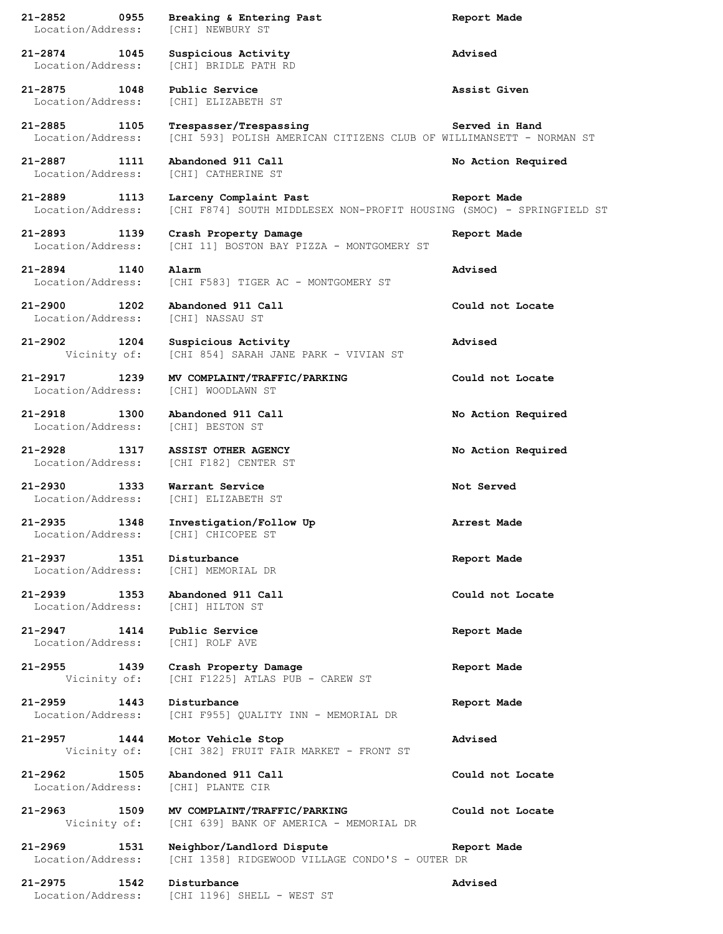| $21 - 2852$<br>Location/Address:      | 0955 | Breaking & Entering Past<br>[CHI] NEWBURY ST                                                    | Report Made        |
|---------------------------------------|------|-------------------------------------------------------------------------------------------------|--------------------|
| 21-2874<br>1045<br>Location/Address:  |      | Suspicious Activity<br>[CHI] BRIDLE PATH RD                                                     | Advised            |
| 21-2875 1048<br>Location/Address:     |      | Public Service<br>[CHI] ELIZABETH ST                                                            | Assist Given       |
| 21-2885 1105<br>Location/Address:     |      | Trespasser/Trespassing<br>[CHI 593] POLISH AMERICAN CITIZENS CLUB OF WILLIMANSETT - NORMAN ST   | Served in Hand     |
| 21-2887 1111<br>Location/Address:     |      | Abandoned 911 Call<br>[CHI] CATHERINE ST                                                        | No Action Required |
| 21-2889 1113<br>Location/Address:     |      | Larceny Complaint Past<br>[CHI F874] SOUTH MIDDLESEX NON-PROFIT HOUSING (SMOC) - SPRINGFIELD ST | Report Made        |
| 21-2893<br>Location/Address:          | 1139 | Crash Property Damage<br>[CHI 11] BOSTON BAY PIZZA - MONTGOMERY ST                              | Report Made        |
| 21-2894 1140<br>Location/Address:     |      | Alarm<br>[CHI F583] TIGER AC - MONTGOMERY ST                                                    | Advised            |
| 21-2900 1202<br>Location/Address:     |      | Abandoned 911 Call<br>[CHI] NASSAU ST                                                           | Could not Locate   |
| 21-2902 1204<br>Vicinity of:          |      | Suspicious Activity<br>[CHI 854] SARAH JANE PARK - VIVIAN ST                                    | Advised            |
| 21-2917 1239<br>Location/Address:     |      | MV COMPLAINT/TRAFFIC/PARKING<br>[CHI] WOODLAWN ST                                               | Could not Locate   |
| 21-2918<br>1300<br>Location/Address:  |      | Abandoned 911 Call<br>[CHI] BESTON ST                                                           | No Action Required |
| 21-2928 1317<br>Location/Address:     |      | <b>ASSIST OTHER AGENCY</b><br>[CHI F182] CENTER ST                                              | No Action Required |
| $21 - 2930$<br>Location/Address:      | 1333 | Warrant Service<br>[CHI] ELIZABETH ST                                                           | Not Served         |
| 21-2935<br>Location/Address:          | 1348 | Investigation/Follow Up<br>[CHI] CHICOPEE ST                                                    | Arrest Made        |
| 21-2937<br>Location/Address:          | 1351 | Disturbance<br>[CHI] MEMORIAL DR                                                                | Report Made        |
| $21 - 2939$<br>Location/Address:      | 1353 | Abandoned 911 Call<br>[CHI] HILTON ST                                                           | Could not Locate   |
| $21 - 2947$ 1414<br>Location/Address: |      | Public Service<br>[CHI] ROLF AVE                                                                | Report Made        |
| $21 - 2955$<br>Vicinity of:           | 1439 | Crash Property Damage<br>[CHI F1225] ATLAS PUB - CAREW ST                                       | Report Made        |
| $21 - 2959$<br>Location/Address:      | 1443 | Disturbance<br>[CHI F955] QUALITY INN - MEMORIAL DR                                             | Report Made        |
| 21-2957<br>Vicinity of:               | 1444 | Motor Vehicle Stop<br>[CHI 382] FRUIT FAIR MARKET - FRONT ST                                    | Advised            |
| $21 - 2962$<br>Location/Address:      | 1505 | Abandoned 911 Call<br>[CHI] PLANTE CIR                                                          | Could not Locate   |
| 21-2963<br>1509<br>Vicinity of:       |      | MV COMPLAINT/TRAFFIC/PARKING<br>[CHI 639] BANK OF AMERICA - MEMORIAL DR                         | Could not Locate   |
| $21 - 2969$<br>Location/Address:      | 1531 | Neighbor/Landlord Dispute<br>[CHI 1358] RIDGEWOOD VILLAGE CONDO'S - OUTER DR                    | Report Made        |
| 21-2975 1542<br>Location/Address:     |      | Disturbance<br>[CHI 1196] SHELL - WEST ST                                                       | Advised            |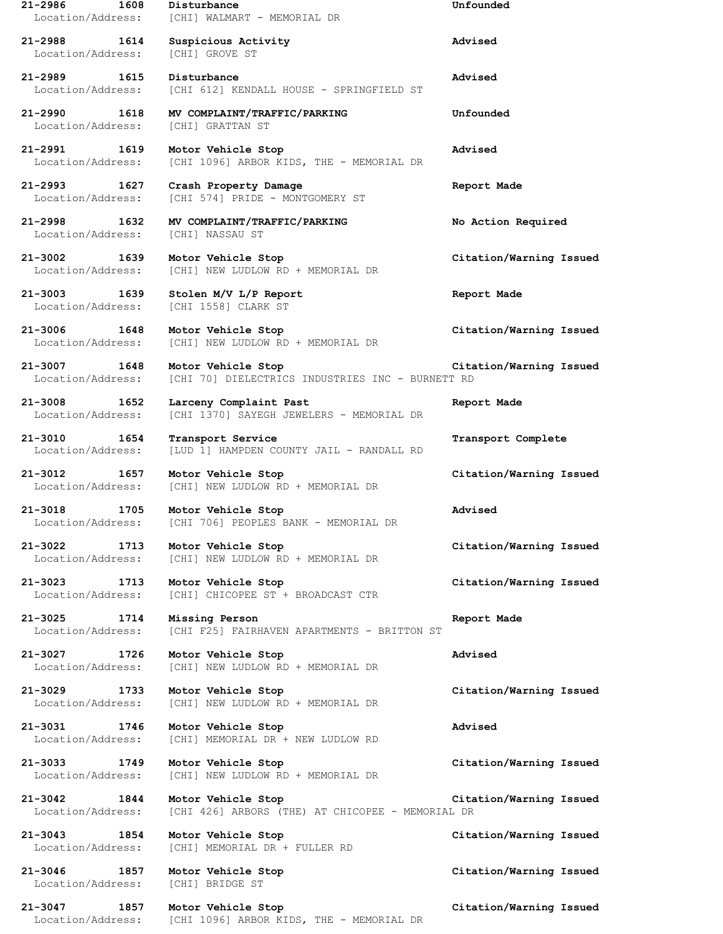| 1608<br>21-2986                                      | Disturbance<br>Location/Address: [CHI] WALMART - MEMORIAL DR                         | Unfounded               |
|------------------------------------------------------|--------------------------------------------------------------------------------------|-------------------------|
| 21-2988 1614<br>Location/Address: [CHI] GROVE ST     | Suspicious Activity                                                                  | Advised                 |
| 21-2989 1615                                         | Disturbance<br>Location/Address: [CHI 612] KENDALL HOUSE - SPRINGFIELD ST            | Advised                 |
| Location/Address: [CHI] GRATTAN ST                   | 21-2990 1618 MV COMPLAINT/TRAFFIC/PARKING                                            | Unfounded               |
| 21-2991 1619                                         | Motor Vehicle Stop<br>Location/Address: [CHI 1096] ARBOR KIDS, THE - MEMORIAL DR     | Advised                 |
| 21-2993 1627<br>Location/Address:                    | Crash Property Damage<br>[CHI 574] PRIDE - MONTGOMERY ST                             | Report Made             |
| 21-2998 1632<br>Location/Address: [CHI] NASSAU ST    | MV COMPLAINT/TRAFFIC/PARKING                                                         | No Action Required      |
| 21-3002 1639<br>Location/Address:                    | Motor Vehicle Stop<br>[CHI] NEW LUDLOW RD + MEMORIAL DR                              | Citation/Warning Issued |
| Location/Address: [CHI 1558] CLARK ST                | 21-3003 1639 Stolen M/V L/P Report                                                   | Report Made             |
| 21-3006 1648<br>Location/Address:                    | Motor Vehicle Stop<br>[CHI] NEW LUDLOW RD + MEMORIAL DR                              | Citation/Warning Issued |
| 21-3007 1648 Motor Vehicle Stop<br>Location/Address: | [CHI 70] DIELECTRICS INDUSTRIES INC - BURNETT RD                                     | Citation/Warning Issued |
| 21-3008 1652                                         | Larceny Complaint Past<br>Location/Address: [CHI 1370] SAYEGH JEWELERS - MEMORIAL DR | Report Made             |
| 21-3010 1654                                         | Transport Service<br>Location/Address: [LUD 1] HAMPDEN COUNTY JAIL - RANDALL RD      | Transport Complete      |
| 21-3012 1657 Motor Vehicle Stop                      | Location/Address: [CHI] NEW LUDLOW RD + MEMORIAL DR                                  | Citation/Warning Issued |
| 21-3018 1705 Motor Vehicle Stop                      | Location/Address: [CHI 706] PEOPLES BANK - MEMORIAL DR                               | Advised                 |
| 21-3022<br>1713<br>Location/Address:                 | Motor Vehicle Stop<br>[CHI] NEW LUDLOW RD + MEMORIAL DR                              | Citation/Warning Issued |
| 21-3023<br>1713<br>Location/Address:                 | Motor Vehicle Stop<br>[CHI] CHICOPEE ST + BROADCAST CTR                              | Citation/Warning Issued |
| 21-3025<br>1714<br>Location/Address:                 | Missing Person<br>[CHI F25] FAIRHAVEN APARTMENTS - BRITTON ST                        | Report Made             |
| 21-3027<br>1726<br>Location/Address:                 | Motor Vehicle Stop<br>[CHI] NEW LUDLOW RD + MEMORIAL DR                              | Advised                 |
| 21-3029<br>1733<br>Location/Address:                 | Motor Vehicle Stop<br>[CHI] NEW LUDLOW RD + MEMORIAL DR                              | Citation/Warning Issued |
| 21-3031 1746<br>Location/Address:                    | Motor Vehicle Stop<br>[CHI] MEMORIAL DR + NEW LUDLOW RD                              | Advised                 |
| 21-3033<br>1749<br>Location/Address:                 | Motor Vehicle Stop<br>[CHI] NEW LUDLOW RD + MEMORIAL DR                              | Citation/Warning Issued |
| 21-3042 1844<br>Location/Address:                    | Motor Vehicle Stop<br>[CHI 426] ARBORS (THE) AT CHICOPEE - MEMORIAL DR               | Citation/Warning Issued |
| 21-3043<br>1854<br>Location/Address:                 | Motor Vehicle Stop<br>[CHI] MEMORIAL DR + FULLER RD                                  | Citation/Warning Issued |
| 21-3046 1857<br>Location/Address:                    | Motor Vehicle Stop<br>[CHI] BRIDGE ST                                                | Citation/Warning Issued |
| 21-3047<br>1857<br>Location/Address:                 | Motor Vehicle Stop<br>[CHI 1096] ARBOR KIDS, THE - MEMORIAL DR                       | Citation/Warning Issued |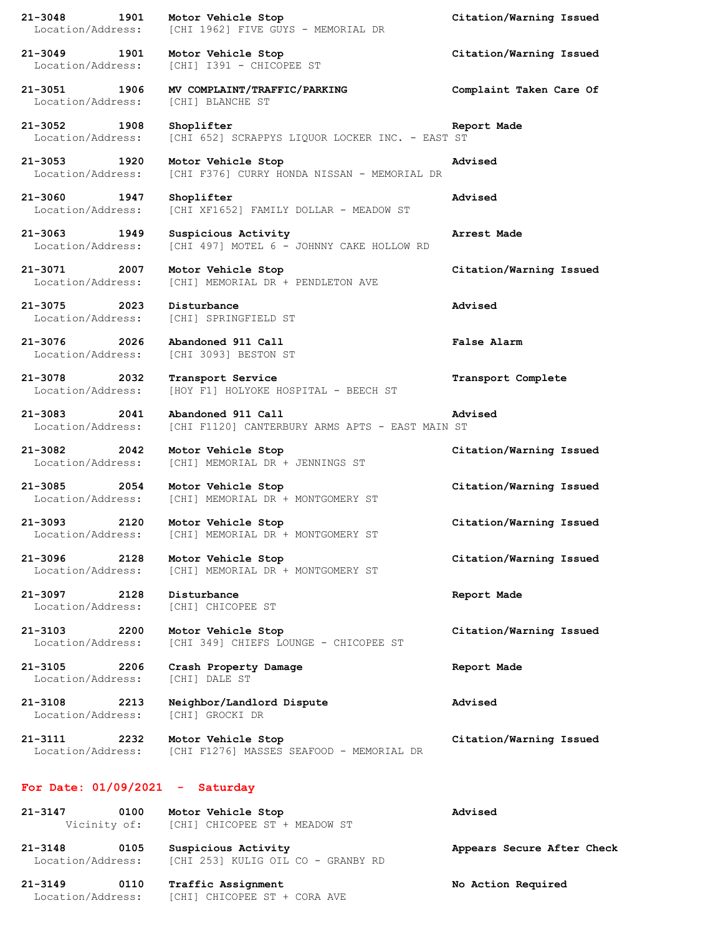**21-3048 1901 Motor Vehicle Stop Citation/Warning Issued** Location/Address: [CHI 1962] FIVE GUYS - MEMORIAL DR **21-3049 1901 Motor Vehicle Stop Citation/Warning Issued** Location/Address: [CHI] I391 - CHICOPEE ST **21-3051 1906 MV COMPLAINT/TRAFFIC/PARKING Complaint Taken Care Of** Location/Address: [CHI] BLANCHE ST **21-3052 1908 Shoplifter Report Made** Location/Address: [CHI 652] SCRAPPYS LIQUOR LOCKER INC. - EAST ST **21-3053 1920 Motor Vehicle Stop Advised** Location/Address: [CHI F376] CURRY HONDA NISSAN - MEMORIAL DR **21-3060 1947 Shoplifter Advised** Location/Address: [CHI XF1652] FAMILY DOLLAR - MEADOW ST **21-3063 1949 Suspicious Activity Arrest Made** Location/Address: [CHI 497] MOTEL 6 - JOHNNY CAKE HOLLOW RD **21-3071 2007 Motor Vehicle Stop Citation/Warning Issued** Location/Address: [CHI] MEMORIAL DR + PENDLETON AVE **21-3075 2023 Disturbance Advised** Location/Address: [CHI] SPRINGFIELD ST **21-3076 2026 Abandoned 911 Call False Alarm** Location/Address: [CHI 3093] BESTON ST **21-3078 2032 Transport Service Transport Complete** Location/Address: [HOY F1] HOLYOKE HOSPITAL - BEECH ST **21-3083 2041 Abandoned 911 Call Advised** Location/Address: [CHI F1120] CANTERBURY ARMS APTS - EAST MAIN ST **21-3082 2042 Motor Vehicle Stop Citation/Warning Issued** Location/Address: [CHI] MEMORIAL DR + JENNINGS ST **21-3085 2054 Motor Vehicle Stop Citation/Warning Issued** Location/Address: [CHI] MEMORIAL DR + MONTGOMERY ST **21-3093 2120 Motor Vehicle Stop Citation/Warning Issued** Location/Address: [CHI] MEMORIAL DR + MONTGOMERY ST **21-3096 2128 Motor Vehicle Stop Citation/Warning Issued** Location/Address: [CHI] MEMORIAL DR + MONTGOMERY ST **21-3097 2128 Disturbance Report Made** Location/Address: [CHI] CHICOPEE ST **21-3103 2200 Motor Vehicle Stop Citation/Warning Issued** Location/Address: [CHI 349] CHIEFS LOUNGE - CHICOPEE ST **21-3105 2206 Crash Property Damage Report Made** Location/Address: [CHI] DALE ST **21-3108 2213 Neighbor/Landlord Dispute Advised** Location/Address: [CHI] GROCKI DR **21-3111 2232 Motor Vehicle Stop Citation/Warning Issued** Location/Address: [CHI F1276] MASSES SEAFOOD - MEMORIAL DR **For Date: 01/09/2021 - Saturday 21-3147 0100 Motor Vehicle Stop Advised** Vicinity of: [CHI] CHICOPEE ST + MEADOW ST **21-3148 0105 Suspicious Activity Appears Secure After Check** Location/Address: [CHI 253] KULIG OIL CO - GRANBY RD

**21-3149 0110 Traffic Assignment No Action Required** Location/Address: [CHI] CHICOPEE ST + CORA AVE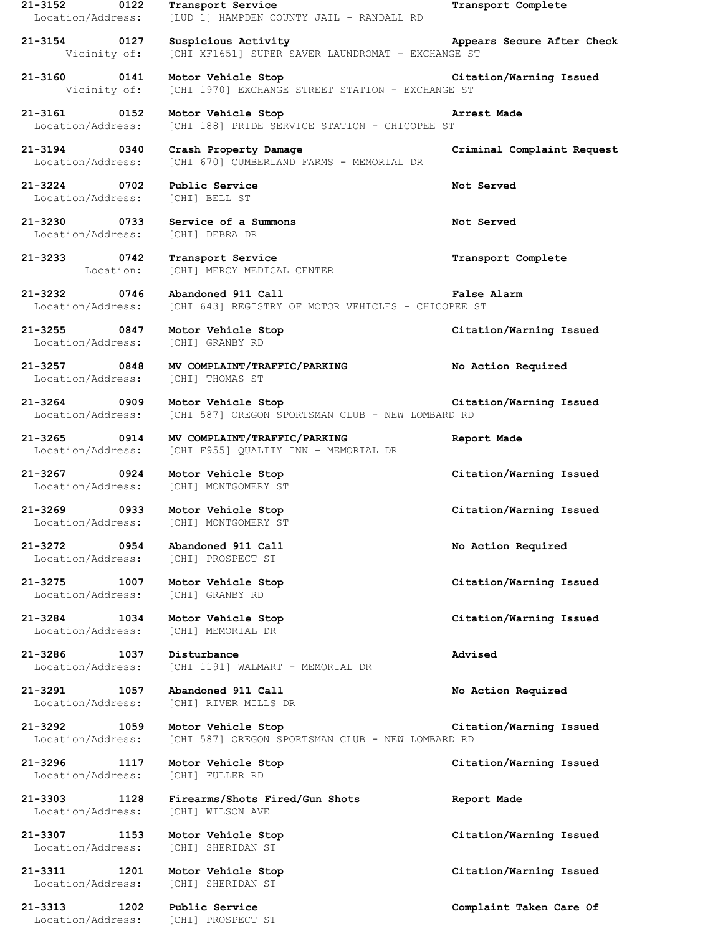| 21-3152 0122<br>Location/Address:                              | Transport Service<br>[LUD 1] HAMPDEN COUNTY JAIL - RANDALL RD                                                            | Transport Complete         |
|----------------------------------------------------------------|--------------------------------------------------------------------------------------------------------------------------|----------------------------|
| 21-3154 0127                                                   | Suspicious Activity<br>Vicinity of: [CHI XF1651] SUPER SAVER LAUNDROMAT - EXCHANGE ST                                    | Appears Secure After Check |
|                                                                | 21-3160 0141 Motor Vehicle Stop Citation/Warning Issued<br>Vicinity of: [CHI 1970] EXCHANGE STREET STATION - EXCHANGE ST |                            |
| 21-3161 0152                                                   | Motor Vehicle Stop<br>Arrest Made<br>Location/Address: [CHI 188] PRIDE SERVICE STATION - CHICOPEE ST                     |                            |
|                                                                | 21-3194 0340 Crash Property Damage<br>Location/Address: [CHI 670] CUMBERLAND FARMS - MEMORIAL DR                         | Criminal Complaint Request |
| 21-3224 0702 Public Service<br>Location/Address: [CHI] BELL ST |                                                                                                                          | Not Served                 |
| 21-3230 0733<br>Location/Address: [CHI] DEBRA DR               | Service of a Summons                                                                                                     | Not Served                 |
| Location:                                                      | 21-3233 0742 Transport Service<br>[CHI] MERCY MEDICAL CENTER                                                             | Transport Complete         |
| 21-3232 0746                                                   | Abandoned 911 Call<br>Location/Address: [CHI 643] REGISTRY OF MOTOR VEHICLES - CHICOPEE ST                               | <b>False Alarm</b>         |
| Location/Address: [CHI] GRANBY RD                              | 21-3255 0847 Motor Vehicle Stop                                                                                          | Citation/Warning Issued    |
| Location/Address: [CHI] THOMAS ST                              | 21-3257 0848 MV COMPLAINT/TRAFFIC/PARKING No Action Required                                                             |                            |
| Location/Address:                                              | 21-3264 0909 Motor Vehicle Stop Notor 1990 120 21-3264<br>[CHI 587] OREGON SPORTSMAN CLUB - NEW LOMBARD RD               |                            |
|                                                                | 21-3265 0914 MV COMPLAINT/TRAFFIC/PARKING<br>Location/Address: [CHI F955] QUALITY INN - MEMORIAL DR                      | Report Made                |
|                                                                | 21-3267 0924 Motor Vehicle Stop<br>Location/Address: [CHI] MONTGOMERY ST                                                 | Citation/Warning Issued    |
|                                                                | 21–3269 0933 Motor Vehicle Stop<br>Location/Address: [CHI] MONTGOMERY ST                                                 | Citation/Warning Issued    |
| 21-3272 0954<br>Location/Address:                              | Abandoned 911 Call<br>[CHI] PROSPECT ST                                                                                  | No Action Required         |
| 1007<br>21-3275<br>Location/Address: [CHI] GRANBY RD           | Motor Vehicle Stop                                                                                                       | Citation/Warning Issued    |
| 21-3284 1034<br>Location/Address:                              | Motor Vehicle Stop<br>[CHI] MEMORIAL DR                                                                                  | Citation/Warning Issued    |
| 21-3286<br>1037<br>Location/Address:                           | Disturbance<br>[CHI 1191] WALMART - MEMORIAL DR                                                                          | Advised                    |
| 21-3291<br>1057<br>Location/Address:                           | Abandoned 911 Call<br>[CHI] RIVER MILLS DR                                                                               | No Action Required         |
| 21-3292 1059<br>Location/Address:                              | Motor Vehicle Stop<br>[CHI 587] OREGON SPORTSMAN CLUB - NEW LOMBARD RD                                                   | Citation/Warning Issued    |
| 21-3296<br>1117<br>Location/Address:                           | Motor Vehicle Stop<br>[CHI] FULLER RD                                                                                    | Citation/Warning Issued    |
| 21-3303 2014<br>1128<br>Location/Address:                      | Firearms/Shots Fired/Gun Shots<br>[CHI] WILSON AVE                                                                       | Report Made                |
| 21-3307<br>1153<br>Location/Address:                           | Motor Vehicle Stop<br>[CHI] SHERIDAN ST                                                                                  | Citation/Warning Issued    |
| 21–3311<br>1201<br>Location/Address:                           | Motor Vehicle Stop<br>[CHI] SHERIDAN ST                                                                                  | Citation/Warning Issued    |
| 21-3313<br>1202<br>Location/Address: [CHI] PROSPECT ST         | Public Service                                                                                                           | Complaint Taken Care Of    |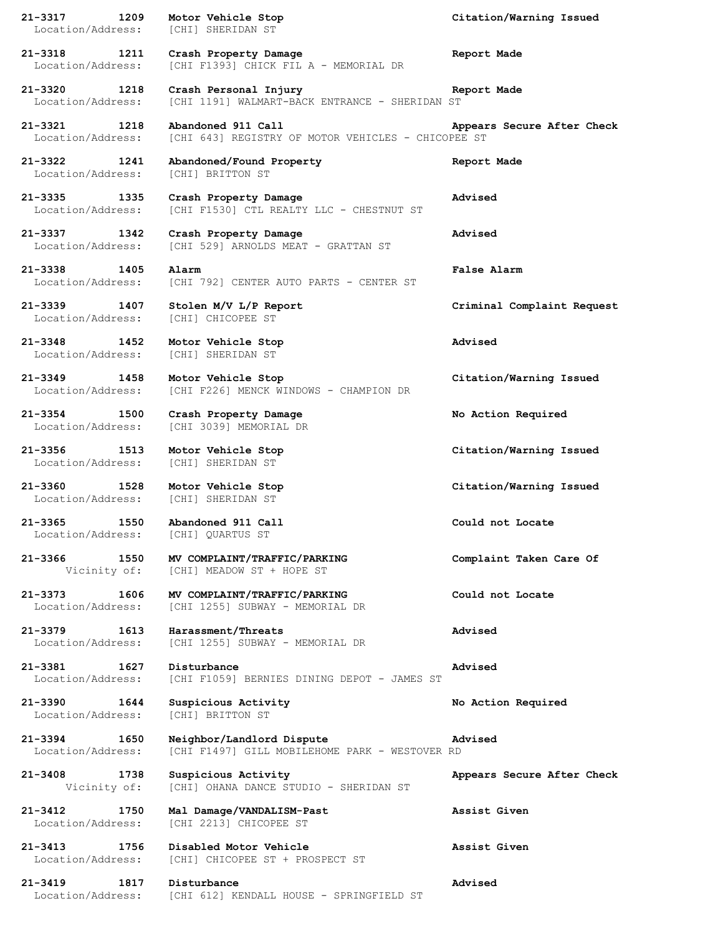**21-3317 1209 Motor Vehicle Stop Citation/Warning Issued** Location/Address: [CHI] SHERIDAN ST **21-3318 1211 Crash Property Damage Report Made** Location/Address: [CHI F1393] CHICK FIL A - MEMORIAL DR **21-3320 1218 Crash Personal Injury Report Made** Location/Address: [CHI 1191] WALMART-BACK ENTRANCE - SHERIDAN ST **21-3321 1218 Abandoned 911 Call Appears Secure After Check** Location/Address: [CHI 643] REGISTRY OF MOTOR VEHICLES - CHICOPEE ST **21-3322 1241 Abandoned/Found Property Report Made** Location/Address: [CHI] BRITTON ST **21-3335 1335 Crash Property Damage Advised** Location/Address: [CHI F1530] CTL REALTY LLC - CHESTNUT ST **21-3337 1342 Crash Property Damage Advised** Location/Address: [CHI 529] ARNOLDS MEAT - GRATTAN ST **21-3338 1405 Alarm False Alarm** Location/Address: [CHI 792] CENTER AUTO PARTS - CENTER ST **21-3339 1407 Stolen M/V L/P Report Criminal Complaint Request** Location/Address: [CHI] CHICOPEE ST **21-3348 1452 Motor Vehicle Stop Advised** Location/Address: [CHI] SHERIDAN ST **21-3349 1458 Motor Vehicle Stop Citation/Warning Issued** Location/Address: [CHI F226] MENCK WINDOWS - CHAMPION DR **21-3354 1500 Crash Property Damage No Action Required** Location/Address: [CHI 3039] MEMORIAL DR **21-3356 1513 Motor Vehicle Stop Citation/Warning Issued** Location/Address: [CHI] SHERIDAN ST **21-3360 1528 Motor Vehicle Stop Citation/Warning Issued** Location/Address: [CHI] SHERIDAN ST **21-3365 1550 Abandoned 911 Call Could not Locate** Location/Address: [CHI] QUARTUS ST **21-3366 1550 MV COMPLAINT/TRAFFIC/PARKING Complaint Taken Care Of** Vicinity of: [CHI] MEADOW ST + HOPE ST **21-3373 1606 MV COMPLAINT/TRAFFIC/PARKING Could not Locate** Location/Address: [CHI 1255] SUBWAY - MEMORIAL DR **21-3379 1613 Harassment/Threats Advised** Location/Address: [CHI 1255] SUBWAY - MEMORIAL DR **21-3381 1627 Disturbance Advised** Location/Address: [CHI F1059] BERNIES DINING DEPOT - JAMES ST **21-3390 1644 Suspicious Activity No Action Required** Location/Address: [CHI] BRITTON ST **21-3394 1650 Neighbor/Landlord Dispute Advised** Location/Address: [CHI F1497] GILL MOBILEHOME PARK - WESTOVER RD **21-3408 1738 Suspicious Activity Appears Secure After Check** Vicinity of: [CHI] OHANA DANCE STUDIO - SHERIDAN ST **21-3412 1750 Mal Damage/VANDALISM-Past Assist Given** Location/Address: [CHI 2213] CHICOPEE ST **21-3413 1756 Disabled Motor Vehicle Assist Given** Location/Address: [CHI] CHICOPEE ST + PROSPECT ST **21-3419 1817 Disturbance Advised** Location/Address: [CHI 612] KENDALL HOUSE - SPRINGFIELD ST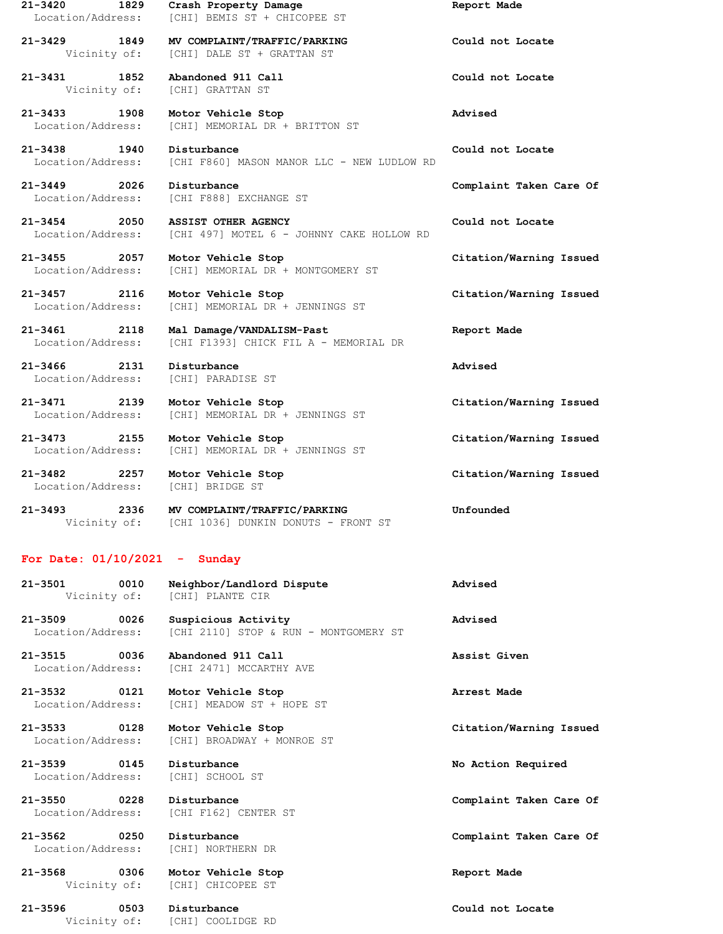**21-3431 1852 Abandoned 911 Call Could not Locate** Vicinity of: [CHI] GRATTAN ST

Location/Address: [CHI F888] EXCHANGE ST

**21-3454 2050 ASSIST OTHER AGENCY Could not Locate** Location/Address: [CHI 497] MOTEL 6 - JOHNNY CAKE HOLLOW RD

**21-3455 2057 Motor Vehicle Stop Citation/Warning Issued** Location/Address: [CHI] MEMORIAL DR + MONTGOMERY ST

**21-3457 2116 Motor Vehicle Stop Citation/Warning Issued** Location/Address: [CHI] MEMORIAL DR + JENNINGS ST

**21-3461 2118 Mal Damage/VANDALISM-Past Report Made** Location/Address: [CHI F1393] CHICK FIL A - MEMORIAL DR

**21-3466 2131 Disturbance Advised** Location/Address: [CHI] PARADISE ST

**21-3471 2139 Motor Vehicle Stop Citation/Warning Issued** Location/Address: [CHI] MEMORIAL DR + JENNINGS ST

**21-3473 2155 Motor Vehicle Stop Citation/Warning Issued** Location/Address: [CHI] MEMORIAL DR + JENNINGS ST

Location/Address: [CHI] BRIDGE ST

**21-3493 2336 MV COMPLAINT/TRAFFIC/PARKING Unfounded** Vicinity of: [CHI 1036] DUNKIN DONUTS - FRONT ST

## **For Date: 01/10/2021 - Sunday**

**21-3501 0010 Neighbor/Landlord Dispute Advised** Vicinity of: [CHI] PLANTE CIR

**21-3509 0026 Suspicious Activity Advised** Location/Address: [CHI 2110] STOP & RUN - MONTGOMERY ST

**21-3515 0036 Abandoned 911 Call Assist Given** Location/Address: [CHI 2471] MCCARTHY AVE

**21-3532 0121 Motor Vehicle Stop Arrest Made** Location/Address: [CHI] MEADOW ST + HOPE ST

**21-3533 0128 Motor Vehicle Stop Citation/Warning Issued** Location/Address: [CHI] BROADWAY + MONROE ST

**21-3539 0145 Disturbance No Action Required** Location/Address: [CHI] SCHOOL ST

Location/Address: [CHI F162] CENTER ST

Location/Address: [CHI] NORTHERN DR

**21-3568 0306 Motor Vehicle Stop Report Made** Vicinity of: [CHI] CHICOPEE ST

**21-3596 0503 Disturbance Could not Locate** Vicinity of: [CHI] COOLIDGE RD

**21-3420 1829 Crash Property Damage Report Made** Location/Address: [CHI] BEMIS ST + CHICOPEE ST

**21-3429 1849 MV COMPLAINT/TRAFFIC/PARKING Could not Locate** Vicinity of: [CHI] DALE ST + GRATTAN ST

**21-3433 1908 Motor Vehicle Stop Advised** Location/Address: [CHI] MEMORIAL DR + BRITTON ST

**21-3438 1940 Disturbance Could not Locate** Location/Address: [CHI F860] MASON MANOR LLC - NEW LUDLOW RD

**21-3449 2026 Disturbance Complaint Taken Care Of**

**21-3482 2257 Motor Vehicle Stop Citation/Warning Issued**

**21-3550 0228 Disturbance Complaint Taken Care Of**

**21-3562 0250 Disturbance Complaint Taken Care Of**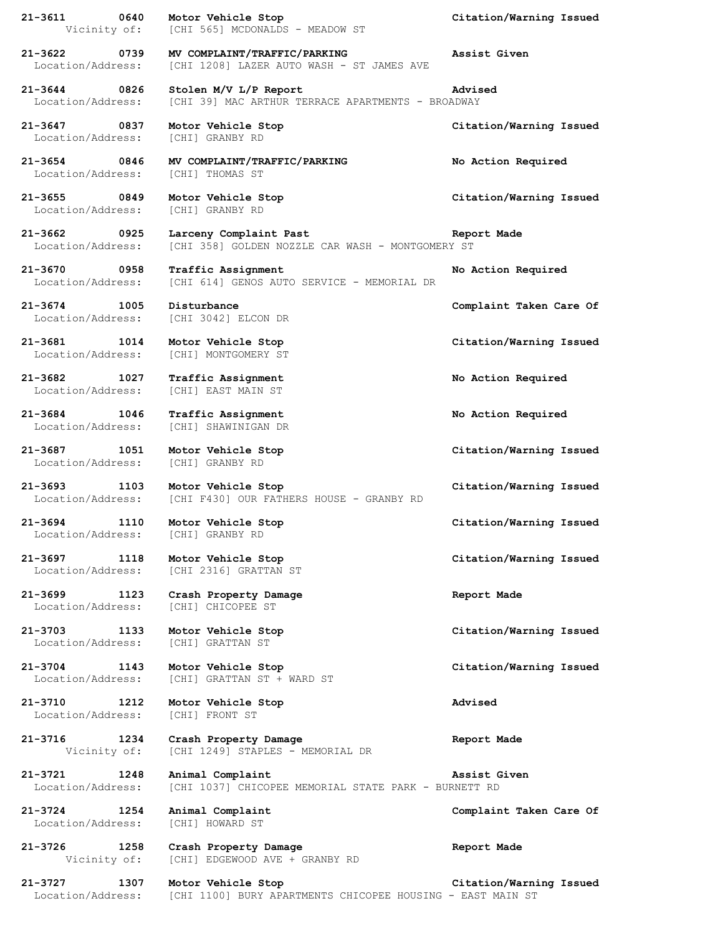**21-3611 0640 Motor Vehicle Stop Citation/Warning Issued** Vicinity of: [CHI 565] MCDONALDS - MEADOW ST **21-3622 0739 MV COMPLAINT/TRAFFIC/PARKING Assist Given** Location/Address: [CHI 1208] LAZER AUTO WASH - ST JAMES AVE **21-3644 0826 Stolen M/V L/P Report Advised** Location/Address: [CHI 39] MAC ARTHUR TERRACE APARTMENTS - BROADWAY **21-3647 0837 Motor Vehicle Stop Citation/Warning Issued** Location/Address: [CHI] GRANBY RD **21-3654 0846 MV COMPLAINT/TRAFFIC/PARKING No Action Required** Location/Address: [CHI] THOMAS ST **21-3655 0849 Motor Vehicle Stop Citation/Warning Issued** Location/Address: [CHI] GRANBY RD **21-3662 0925 Larceny Complaint Past Report Made** Location/Address: [CHI 358] GOLDEN NOZZLE CAR WASH - MONTGOMERY ST **21-3670 0958 Traffic Assignment No Action Required** Location/Address: [CHI 614] GENOS AUTO SERVICE - MEMORIAL DR **21-3674 1005 Disturbance Complaint Taken Care Of** Location/Address: [CHI 3042] ELCON DR **21-3681 1014 Motor Vehicle Stop Citation/Warning Issued** Location/Address: [CHI] MONTGOMERY ST **21-3682 1027 Traffic Assignment No Action Required** Location/Address: [CHI] EAST MAIN ST **21-3684 1046 Traffic Assignment No Action Required** Location/Address: [CHI] SHAWINIGAN DR **21-3687 1051 Motor Vehicle Stop Citation/Warning Issued** Location/Address: [CHI] GRANBY RD **21-3693 1103 Motor Vehicle Stop Citation/Warning Issued** Location/Address: [CHI F430] OUR FATHERS HOUSE - GRANBY RD **21-3694 1110 Motor Vehicle Stop Citation/Warning Issued** Location/Address: [CHI] GRANBY RD **21-3697 1118 Motor Vehicle Stop Citation/Warning Issued** Location/Address: [CHI 2316] GRATTAN ST **21-3699 1123 Crash Property Damage Report Made** Location/Address: [CHI] CHICOPEE ST **21-3703 1133 Motor Vehicle Stop Citation/Warning Issued** Location/Address: [CHI] GRATTAN ST **21-3704 1143 Motor Vehicle Stop Citation/Warning Issued** Location/Address: [CHI] GRATTAN ST + WARD ST **21-3710 1212 Motor Vehicle Stop Advised** Location/Address: [CHI] FRONT ST **21-3716 1234 Crash Property Damage Report Made** Vicinity of: [CHI 1249] STAPLES - MEMORIAL DR **21-3721 1248 Animal Complaint Assist Given** Location/Address: [CHI 1037] CHICOPEE MEMORIAL STATE PARK - BURNETT RD **21-3724 1254 Animal Complaint Complaint Taken Care Of** Location/Address: [CHI] HOWARD ST **21-3726 1258 Crash Property Damage Report Made** Vicinity of: [CHI] EDGEWOOD AVE + GRANBY RD **21-3727 1307 Motor Vehicle Stop Citation/Warning Issued** Location/Address: [CHI 1100] BURY APARTMENTS CHICOPEE HOUSING - EAST MAIN ST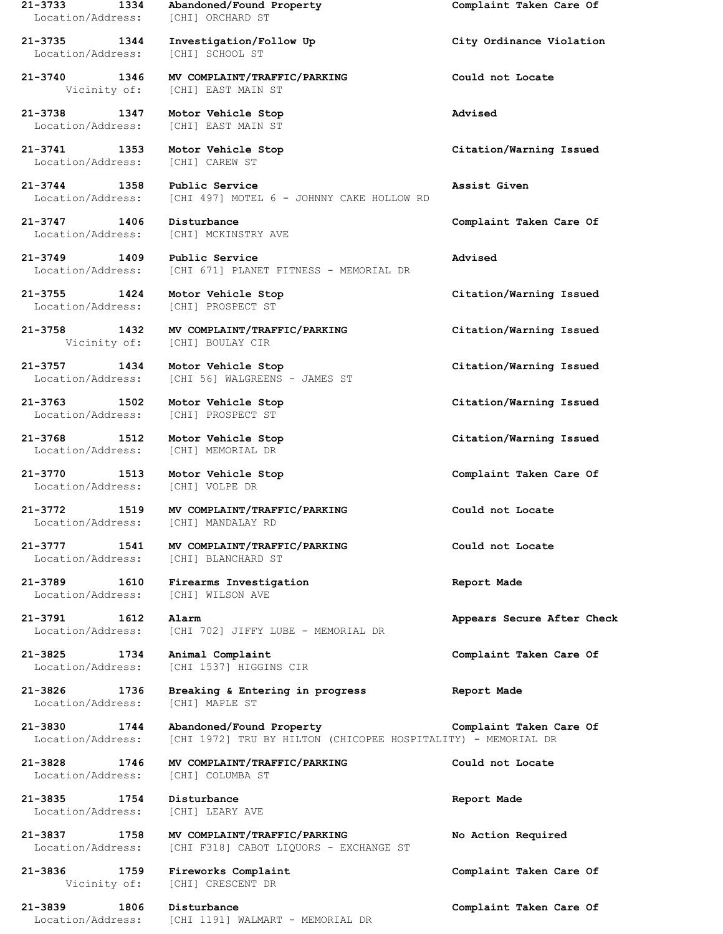**21-3733 1334 Abandoned/Found Property Complaint Taken Care Of** Location/Address: [CHI] ORCHARD ST **21-3735 1344 Investigation/Follow Up City Ordinance Violation** Location/Address: [CHI] SCHOOL ST **21-3740 1346 MV COMPLAINT/TRAFFIC/PARKING Could not Locate** Vicinity of: [CHI] EAST MAIN ST **21-3738 1347 Motor Vehicle Stop Advised** Location/Address: [CHI] EAST MAIN ST **21-3741 1353 Motor Vehicle Stop Citation/Warning Issued** Location/Address: [CHI] CAREW ST **21-3744 1358 Public Service Assist Given** Location/Address: [CHI 497] MOTEL 6 - JOHNNY CAKE HOLLOW RD **21-3747 1406 Disturbance Complaint Taken Care Of** Location/Address: [CHI] MCKINSTRY AVE **21-3749 1409 Public Service Advised** Location/Address: [CHI 671] PLANET FITNESS - MEMORIAL DR **21-3755 1424 Motor Vehicle Stop Citation/Warning Issued** Location/Address: [CHI] PROSPECT ST **21-3758 1432 MV COMPLAINT/TRAFFIC/PARKING Citation/Warning Issued** Vicinity of: [CHI] BOULAY CIR **21-3757 1434 Motor Vehicle Stop Citation/Warning Issued** Location/Address: [CHI 56] WALGREENS - JAMES ST **21-3763 1502 Motor Vehicle Stop Citation/Warning Issued** Location/Address: [CHI] PROSPECT ST **21-3768 1512 Motor Vehicle Stop Citation/Warning Issued** Location/Address: [CHI] MEMORIAL DR **21-3770 1513 Motor Vehicle Stop Complaint Taken Care Of** Location/Address: [CHI] VOLPE DR **21-3772 1519 MV COMPLAINT/TRAFFIC/PARKING Could not Locate** Location/Address: [CHI] MANDALAY RD **21-3777 1541 MV COMPLAINT/TRAFFIC/PARKING Could not Locate** Location/Address: [CHI] BLANCHARD ST **21-3789 1610 Firearms Investigation Report Made** Location/Address: [CHI] WILSON AVE **21-3791 1612 Alarm Appears Secure After Check** Location/Address: [CHI 702] JIFFY LUBE - MEMORIAL DR **21-3825 1734 Animal Complaint Complaint Taken Care Of** Location/Address: [CHI 1537] HIGGINS CIR **21-3826 1736 Breaking & Entering in progress Report Made** Location/Address: [CHI] MAPLE ST **21-3830 1744 Abandoned/Found Property Complaint Taken Care Of** Location/Address: [CHI 1972] TRU BY HILTON (CHICOPEE HOSPITALITY) - MEMORIAL DR **21-3828 1746 MV COMPLAINT/TRAFFIC/PARKING Could not Locate** Location/Address: [CHI] COLUMBA ST **21-3835 1754 Disturbance Report Made** Location/Address: [CHI] LEARY AVE **21-3837 1758 MV COMPLAINT/TRAFFIC/PARKING No Action Required** Location/Address: [CHI F318] CABOT LIQUORS - EXCHANGE ST **21-3836 1759 Fireworks Complaint Complaint Taken Care Of** Vicinity of: [CHI] CRESCENT DR **21-3839 1806 Disturbance Complaint Taken Care Of** Location/Address: [CHI 1191] WALMART - MEMORIAL DR